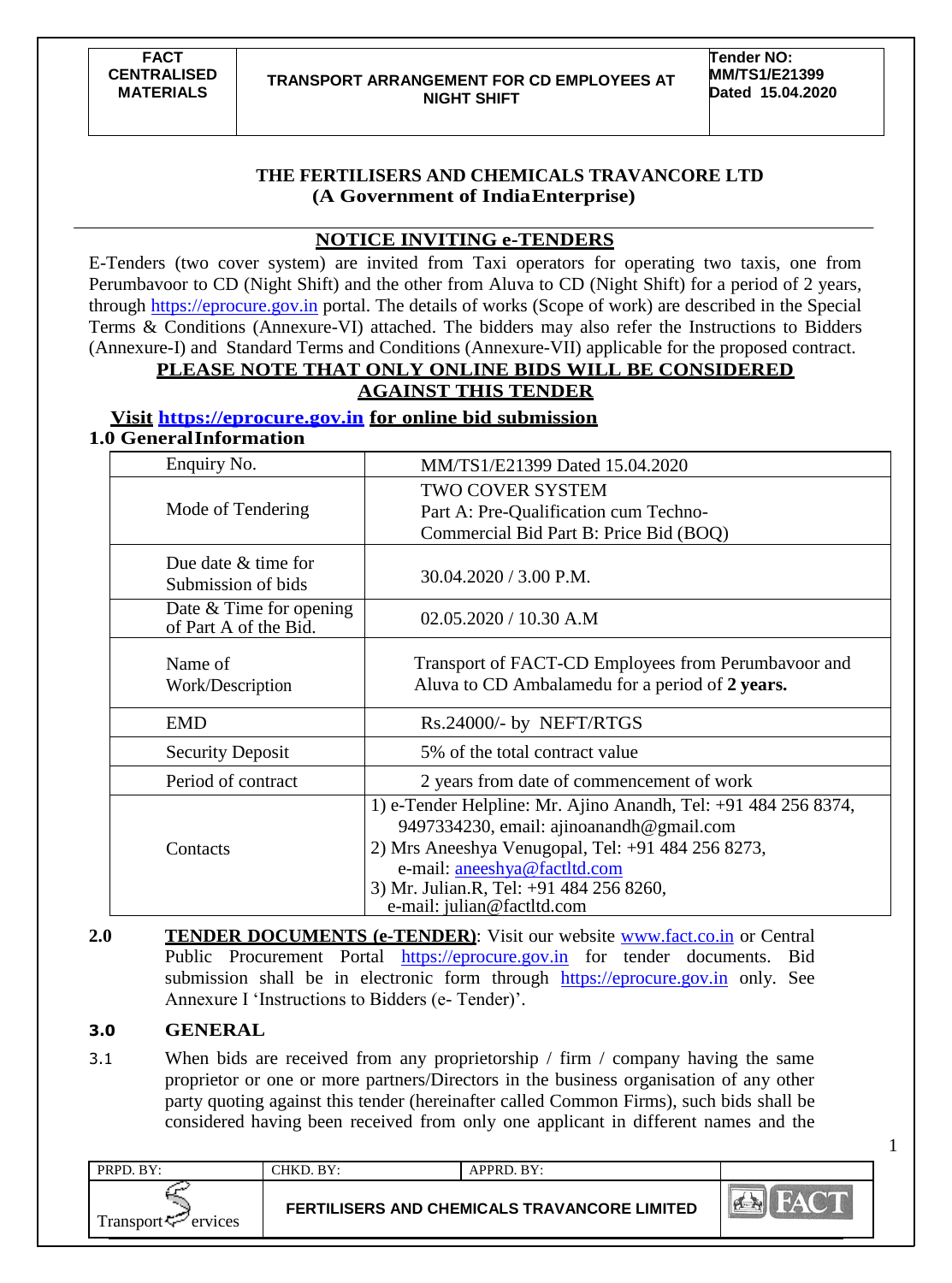**Tender NO: MM/TS1/E21399 Dated 15.04.2020**

1

## **THE FERTILISERS AND CHEMICALS TRAVANCORE LTD (A Government of IndiaEnterprise)**

## **NOTICE INVITING e-TENDERS**

E-Tenders (two cover system) are invited from Taxi operators for operating two taxis, one from Perumbavoor to CD (Night Shift) and the other from Aluva to CD (Night Shift) for a period of 2 years, through https://eprocure.gov.in portal. The details of works (Scope of work) are described in the Special Terms & Conditions (Annexure-VI) attached. The bidders may also refer the Instructions to Bidders (Annexure-I) and Standard Terms and Conditions (Annexure-VII) applicable for the proposed contract.

## **PLEASE NOTE THAT ONLY ONLINE BIDS WILL BE CONSIDERED**

# **AGAINST THIS TENDER**

## **Visit https://eprocure.gov.in for online bid submission**

|  |  |  | <b>1.0 General Information</b> |
|--|--|--|--------------------------------|
|--|--|--|--------------------------------|

| Enquiry No.                                        | MM/TS1/E21399 Dated 15.04.2020                                                                                                                                                                                                                                           |
|----------------------------------------------------|--------------------------------------------------------------------------------------------------------------------------------------------------------------------------------------------------------------------------------------------------------------------------|
| Mode of Tendering                                  | TWO COVER SYSTEM<br>Part A: Pre-Qualification cum Techno-                                                                                                                                                                                                                |
|                                                    | Commercial Bid Part B: Price Bid (BOQ)                                                                                                                                                                                                                                   |
| Due date & time for<br>Submission of bids          | $30.04.2020 / 3.00$ P.M.                                                                                                                                                                                                                                                 |
| Date $&$ Time for opening<br>of Part A of the Bid. | $02.05.2020 / 10.30$ A.M                                                                                                                                                                                                                                                 |
| Name of<br>Work/Description                        | Transport of FACT-CD Employees from Perumbayoor and<br>Aluva to CD Ambalamedu for a period of 2 years.                                                                                                                                                                   |
| <b>EMD</b>                                         | Rs.24000/- by NEFT/RTGS                                                                                                                                                                                                                                                  |
| <b>Security Deposit</b>                            | 5% of the total contract value                                                                                                                                                                                                                                           |
| Period of contract                                 | 2 years from date of commencement of work                                                                                                                                                                                                                                |
| Contacts                                           | 1) e-Tender Helpline: Mr. Ajino Anandh, Tel: +91 484 256 8374,<br>9497334230, email: ajinoanandh@gmail.com<br>2) Mrs Aneeshya Venugopal, Tel: +91 484 256 8273,<br>e-mail: aneeshya@factltd.com<br>3) Mr. Julian.R, Tel: +91 484 256 8260,<br>e-mail: julian@factltd.com |

**2.0 TENDER DOCUMENTS (e-TENDER):** Visit our website [www.fact.co.in](http://www.fact.co.in/) or Central Public Procurement Portal https://eprocure.gov.in for tender documents. Bid submission shall be in electronic form through https://eprocure.gov.in only. See Annexure I 'Instructions to Bidders (e- Tender)'.

## **3.0 GENERAL**

3.1 When bids are received from any proprietorship / firm / company having the same proprietor or one or more partners/Directors in the business organisation of any other party quoting against this tender (hereinafter called Common Firms), such bids shall be considered having been received from only one applicant in different names and the

| PRPD. BY:                      | CHKD. BY: | APPRD. BY:                                          |                        |
|--------------------------------|-----------|-----------------------------------------------------|------------------------|
| Transport <sup>7</sup> ervices |           | <b>FERTILISERS AND CHEMICALS TRAVANCORE LIMITED</b> | M<br><b>CARGO PORT</b> |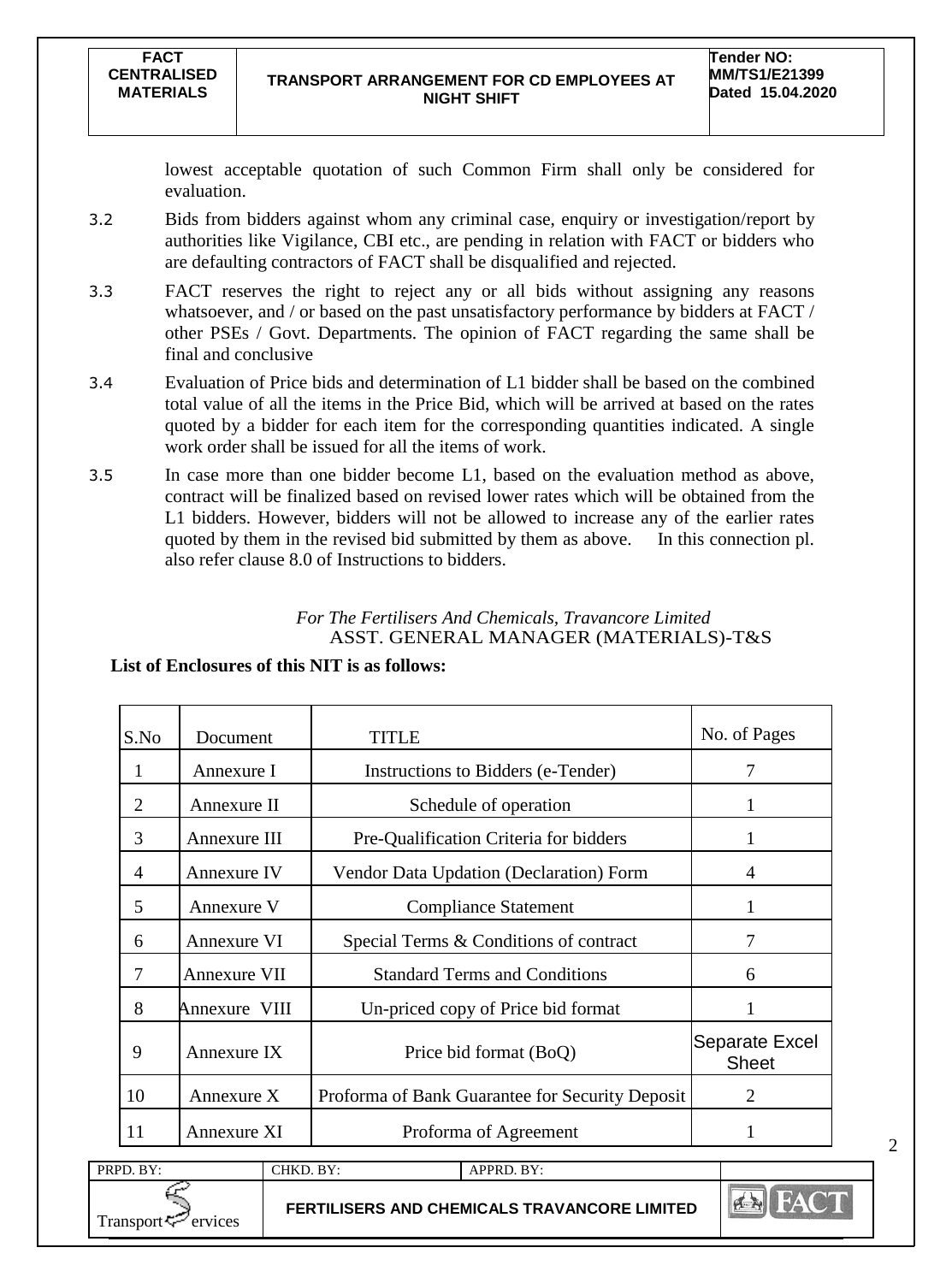lowest acceptable quotation of such Common Firm shall only be considered for evaluation.

- 3.2 Bids from bidders against whom any criminal case, enquiry or investigation/report by authorities like Vigilance, CBI etc., are pending in relation with FACT or bidders who are defaulting contractors of FACT shall be disqualified and rejected.
- 3.3 FACT reserves the right to reject any or all bids without assigning any reasons whatsoever, and / or based on the past unsatisfactory performance by bidders at FACT / other PSEs / Govt. Departments. The opinion of FACT regarding the same shall be final and conclusive
- 3.4 Evaluation of Price bids and determination of L1 bidder shall be based on the combined total value of all the items in the Price Bid, which will be arrived at based on the rates quoted by a bidder for each item for the corresponding quantities indicated. A single work order shall be issued for all the items of work.
- 3.5 In case more than one bidder become L1, based on the evaluation method as above, contract will be finalized based on revised lower rates which will be obtained from the L1 bidders. However, bidders will not be allowed to increase any of the earlier rates quoted by them in the revised bid submitted by them as above. In this connection pl. also refer clause 8.0 of Instructions to bidders.

## *For The Fertilisers And Chemicals, Travancore Limited* ASST. GENERAL MANAGER (MATERIALS)-T&S

## **List of Enclosures of this NIT is as follows:**

Transport  $\leq$  ervices

| S.No           | Document            | TITLE                                           | No. of Pages                   |
|----------------|---------------------|-------------------------------------------------|--------------------------------|
| 1              | Annexure I          | Instructions to Bidders (e-Tender)              | 7                              |
| $\overline{2}$ | Annexure II         | Schedule of operation                           |                                |
| 3              | Annexure III        | Pre-Qualification Criteria for bidders          |                                |
| 4              | Annexure IV         | Vendor Data Updation (Declaration) Form         | 4                              |
| 5              | Annexure V          | <b>Compliance Statement</b>                     |                                |
| 6              | Annexure VI         | Special Terms & Conditions of contract          | 7                              |
| 7              | <b>Annexure VII</b> | <b>Standard Terms and Conditions</b>            | 6                              |
| 8              | Annexure VIII       | Un-priced copy of Price bid format              |                                |
| 9              | Annexure IX         | Price bid format (BoQ)                          | Separate Excel<br><b>Sheet</b> |
| 10             | Annexure X          | Proforma of Bank Guarantee for Security Deposit | $\mathfrak{D}$                 |
| 11             | Annexure XI         | Proforma of Agreement                           |                                |
| PRPD. BY:      |                     | CHKD. BY:<br>APPRD. BY:                         |                                |

**FERTILISERS AND CHEMICALS TRAVANCORE LIMITED**

2

 $\mathbf{A}$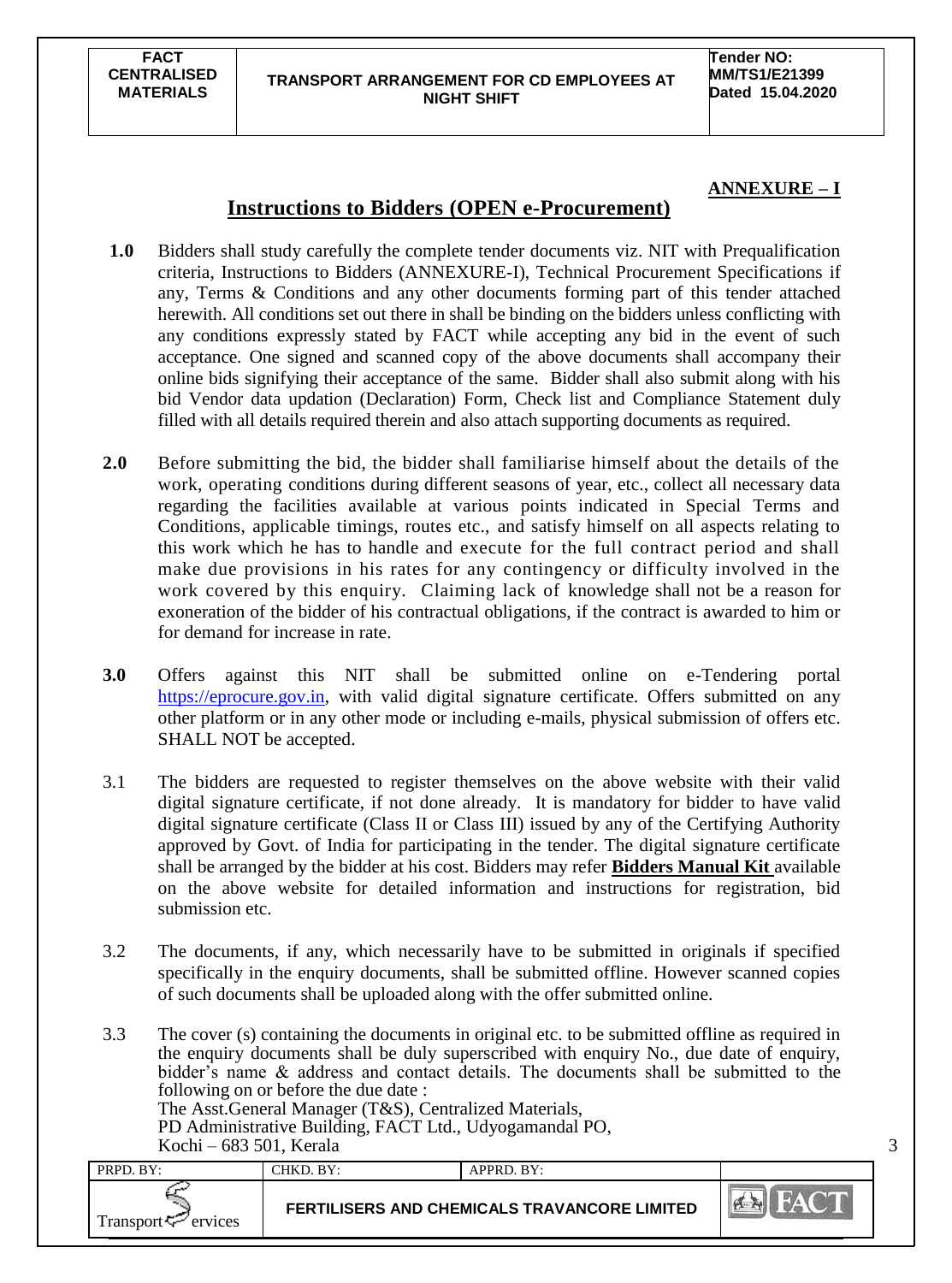#### **TRANSPORT ARRANGEMENT FOR CD EMPLOYEES AT NIGHT SHIFT**

**Tender NO: MM/TS1/E21399 Dated 15.04.2020**

## **ANNEXURE – I**

3

## **Instructions to Bidders (OPEN e-Procurement)**

- **1.0** Bidders shall study carefully the complete tender documents viz. NIT with Prequalification criteria, Instructions to Bidders (ANNEXURE-I), Technical Procurement Specifications if any, Terms & Conditions and any other documents forming part of this tender attached herewith. All conditions set out there in shall be binding on the bidders unless conflicting with any conditions expressly stated by FACT while accepting any bid in the event of such acceptance. One signed and scanned copy of the above documents shall accompany their online bids signifying their acceptance of the same. Bidder shall also submit along with his bid Vendor data updation (Declaration) Form, Check list and Compliance Statement duly filled with all details required therein and also attach supporting documents as required.
- **2.0** Before submitting the bid, the bidder shall familiarise himself about the details of the work, operating conditions during different seasons of year, etc., collect all necessary data regarding the facilities available at various points indicated in Special Terms and Conditions, applicable timings, routes etc., and satisfy himself on all aspects relating to this work which he has to handle and execute for the full contract period and shall make due provisions in his rates for any contingency or difficulty involved in the work covered by this enquiry. Claiming lack of knowledge shall not be a reason for exoneration of the bidder of his contractual obligations, if the contract is awarded to him or for demand for increase in rate.
- **3.0** Offers against this NIT shall be submitted online on e-Tendering portal [https://eprocure.gov.in,](https://eprocure.gov.in/) with valid digital signature certificate. Offers submitted on any other platform or in any other mode or including e-mails, physical submission of offers etc. SHALL NOT be accepted.
- 3.1 The bidders are requested to register themselves on the above website with their valid digital signature certificate, if not done already. It is mandatory for bidder to have valid digital signature certificate (Class II or Class III) issued by any of the Certifying Authority approved by Govt. of India for participating in the tender. The digital signature certificate shall be arranged by the bidder at his cost. Bidders may refer **Bidders Manual Kit** available on the above website for detailed information and instructions for registration, bid submission etc.
- 3.2 The documents, if any, which necessarily have to be submitted in originals if specified specifically in the enquiry documents, shall be submitted offline. However scanned copies of such documents shall be uploaded along with the offer submitted online.
- 3.3 The cover (s) containing the documents in original etc. to be submitted offline as required in the enquiry documents shall be duly superscribed with enquiry No., due date of enquiry, bidder"s name & address and contact details. The documents shall be submitted to the following on or before the due date : The Asst.General Manager (T&S), Centralized Materials,

PD Administrative Building, FACT Ltd., Udyogamandal PO,

| Kochi – 683 501, Kerala         |                                              |            |            |  |
|---------------------------------|----------------------------------------------|------------|------------|--|
| PRPD. BY:                       | CHKD. BY:                                    | APPRD. BY: |            |  |
| Transport $\mathcal{F}$ ervices | FERTILISERS AND CHEMICALS TRAVANCORE LIMITED |            | <b>ABY</b> |  |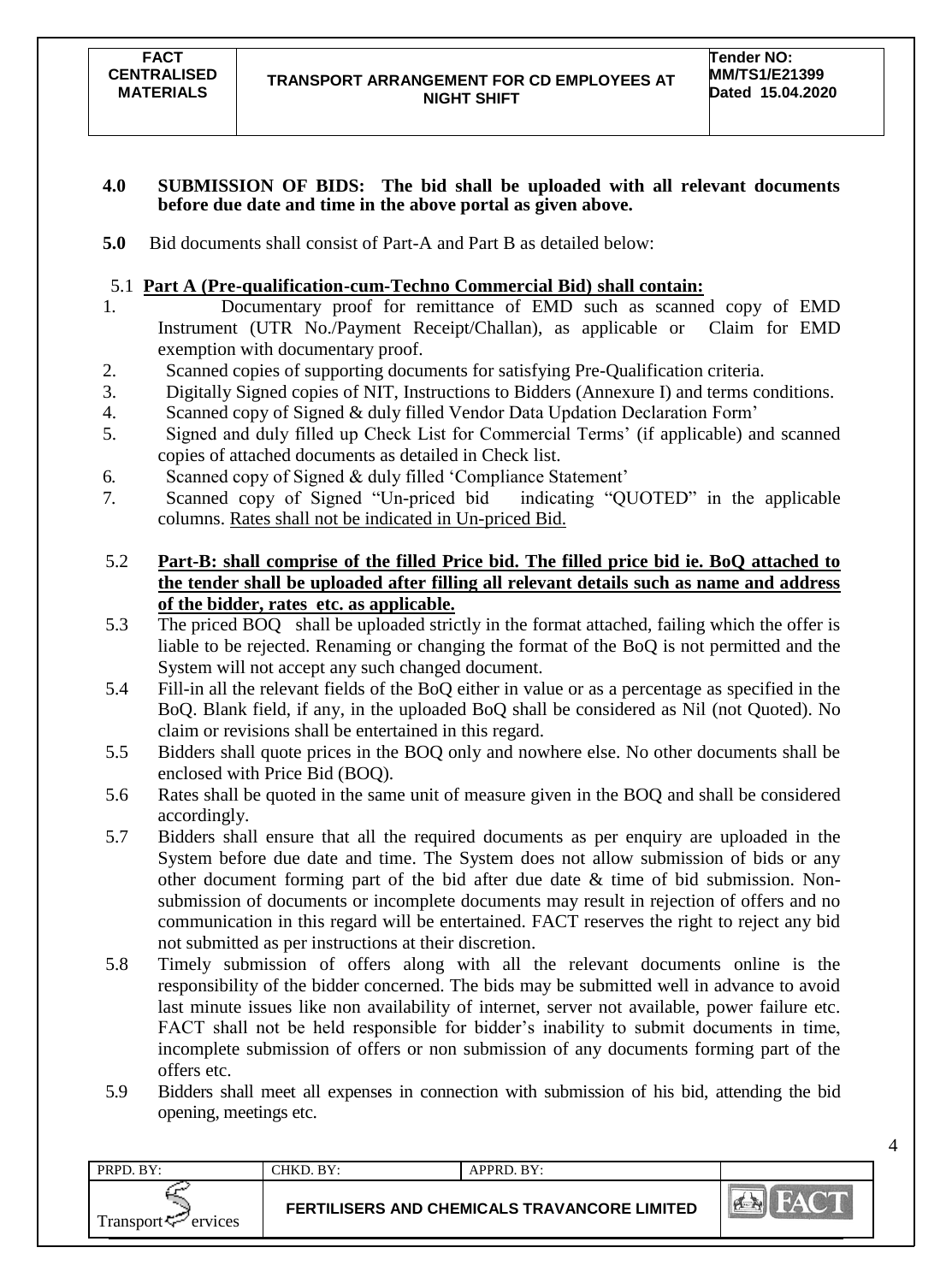#### **4.0 SUBMISSION OF BIDS: The bid shall be uploaded with all relevant documents before due date and time in the above portal as given above.**

**5.0** Bid documents shall consist of Part-A and Part B as detailed below:

## 5.1 **Part A (Pre-qualification-cum-Techno Commercial Bid) shall contain:**

- 1. Documentary proof for remittance of EMD such as scanned copy of EMD Instrument (UTR No./Payment Receipt/Challan), as applicable or Claim for EMD exemption with documentary proof.
- 2. Scanned copies of supporting documents for satisfying Pre-Qualification criteria.
- 3. Digitally Signed copies of NIT, Instructions to Bidders (Annexure I) and terms conditions.
- 4. Scanned copy of Signed & duly filled Vendor Data Updation Declaration Form"
- 5. Signed and duly filled up Check List for Commercial Terms" (if applicable) and scanned copies of attached documents as detailed in Check list.
- 6. Scanned copy of Signed & duly filled "Compliance Statement"
- 7. Scanned copy of Signed "Un-priced bid indicating "QUOTED" in the applicable columns. Rates shall not be indicated in Un-priced Bid.
- 5.2 **Part-B: shall comprise of the filled Price bid. The filled price bid ie. BoQ attached to the tender shall be uploaded after filling all relevant details such as name and address of the bidder, rates etc. as applicable.**
- 5.3 The priced BOQ shall be uploaded strictly in the format attached, failing which the offer is liable to be rejected. Renaming or changing the format of the BoQ is not permitted and the System will not accept any such changed document.
- 5.4 Fill-in all the relevant fields of the BoQ either in value or as a percentage as specified in the BoQ. Blank field, if any, in the uploaded BoQ shall be considered as Nil (not Quoted). No claim or revisions shall be entertained in this regard.
- 5.5 Bidders shall quote prices in the BOQ only and nowhere else. No other documents shall be enclosed with Price Bid (BOQ).
- 5.6 Rates shall be quoted in the same unit of measure given in the BOQ and shall be considered accordingly.
- 5.7 Bidders shall ensure that all the required documents as per enquiry are uploaded in the System before due date and time. The System does not allow submission of bids or any other document forming part of the bid after due date & time of bid submission. Nonsubmission of documents or incomplete documents may result in rejection of offers and no communication in this regard will be entertained. FACT reserves the right to reject any bid not submitted as per instructions at their discretion.
- 5.8 Timely submission of offers along with all the relevant documents online is the responsibility of the bidder concerned. The bids may be submitted well in advance to avoid last minute issues like non availability of internet, server not available, power failure etc. FACT shall not be held responsible for bidder's inability to submit documents in time, incomplete submission of offers or non submission of any documents forming part of the offers etc.
- 5.9 Bidders shall meet all expenses in connection with submission of his bid, attending the bid opening, meetings etc.

| PRPD. BY:                | CHKD. BY:                                    | APPRD. BY: |  |
|--------------------------|----------------------------------------------|------------|--|
| Transport $\sim$ ervices | FERTILISERS AND CHEMICALS TRAVANCORE LIMITED |            |  |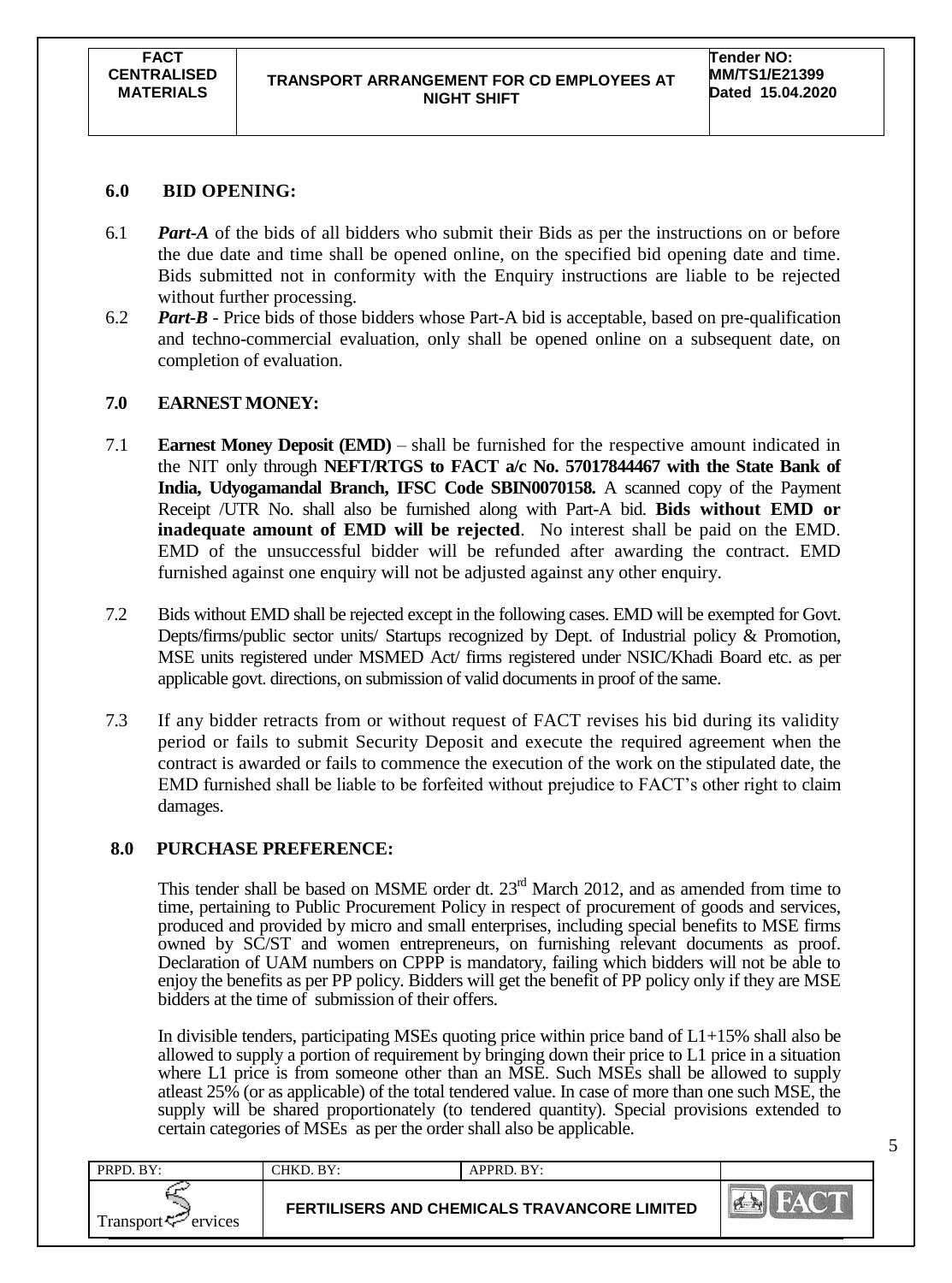## **6.0 BID OPENING:**

- 6.1 *Part-A* of the bids of all bidders who submit their Bids as per the instructions on or before the due date and time shall be opened online, on the specified bid opening date and time. Bids submitted not in conformity with the Enquiry instructions are liable to be rejected without further processing.
- 6.2 *Part-B* Price bids of those bidders whose Part-A bid is acceptable, based on pre-qualification and techno-commercial evaluation, only shall be opened online on a subsequent date, on completion of evaluation.

## **7.0 EARNEST MONEY:**

- 7.1 **Earnest Money Deposit (EMD)** shall be furnished for the respective amount indicated in the NIT only through **NEFT/RTGS to FACT a/c No. 57017844467 with the State Bank of India, Udyogamandal Branch, IFSC Code SBIN0070158.** A scanned copy of the Payment Receipt /UTR No. shall also be furnished along with Part-A bid. **Bids without EMD or inadequate amount of EMD will be rejected**. No interest shall be paid on the EMD. EMD of the unsuccessful bidder will be refunded after awarding the contract. EMD furnished against one enquiry will not be adjusted against any other enquiry.
- 7.2 Bids without EMD shall be rejected except in the following cases. EMD will be exempted for Govt. Depts/firms/public sector units/ Startups recognized by Dept. of Industrial policy & Promotion, MSE units registered under MSMED Act/ firms registered under NSIC/Khadi Board etc. as per applicable govt. directions, on submission of valid documentsin proof of the same.
- 7.3 If any bidder retracts from or without request of FACT revises his bid during its validity period or fails to submit Security Deposit and execute the required agreement when the contract is awarded or fails to commence the execution of the work on the stipulated date, the EMD furnished shall be liable to be forfeited without prejudice to FACT"s other right to claim damages.

### **8.0 PURCHASE PREFERENCE:**

This tender shall be based on MSME order dt.  $23<sup>rd</sup>$  March 2012, and as amended from time to time, pertaining to Public Procurement Policy in respect of procurement of goods and services, produced and provided by micro and small enterprises, including special benefits to MSE firms owned by SC/ST and women entrepreneurs, on furnishing relevant documents as proof. Declaration of UAM numbers on CPPP is mandatory, failing which bidders will not be able to enjoy the benefits as per PP policy. Bidders will get the benefit of PP policy only if they are MSE bidders at the time of submission of their offers.

In divisible tenders, participating MSEs quoting price within price band of  $L1+15\%$  shall also be allowed to supply a portion of requirement by bringing down their price to L1 price in a situation where L1 price is from someone other than an MSE. Such MSEs shall be allowed to supply atleast 25% (or as applicable) of the total tendered value. In case of more than one such MSE, the supply will be shared proportionately (to tendered quantity). Special provisions extended to certain categories of MSEs as per the order shall also be applicable.

| PRPD. BY:           | CHKD. BY:                                           | APPRD. BY: |                                      |
|---------------------|-----------------------------------------------------|------------|--------------------------------------|
| Transport < Frances | <b>FERTILISERS AND CHEMICALS TRAVANCORE LIMITED</b> |            | $\mathbb{R}^{n}$<br><b>CARGE ALL</b> |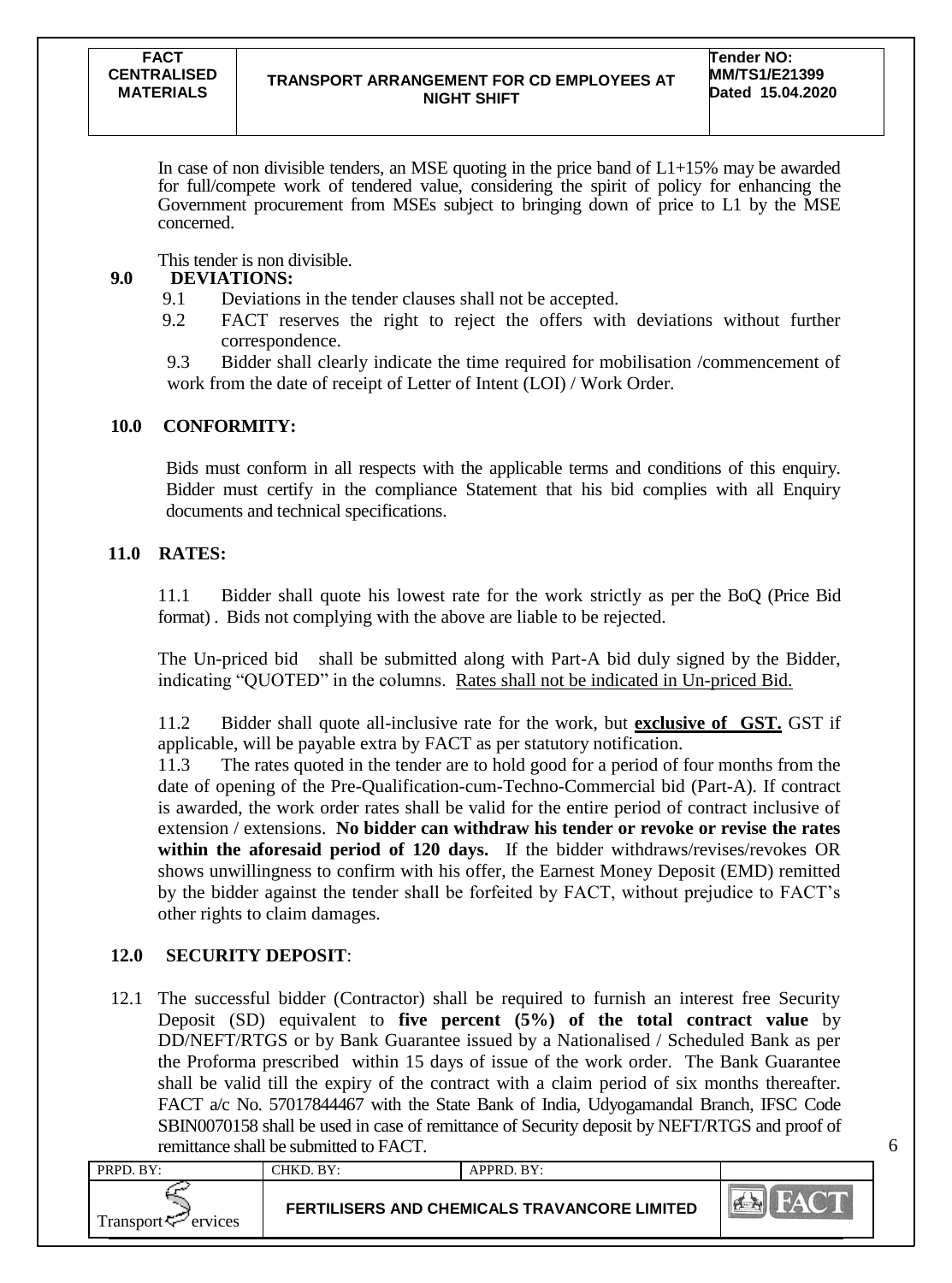In case of non divisible tenders, an MSE quoting in the price band of  $L1+15\%$  may be awarded for full/compete work of tendered value, considering the spirit of policy for enhancing the Government procurement from MSEs subject to bringing down of price to L1 by the MSE concerned.

This tender is non divisible.

## **9.0 DEVIATIONS:**

- 9.1 Deviations in the tender clauses shall not be accepted.
- 9.2 FACT reserves the right to reject the offers with deviations without further correspondence.

9.3 Bidder shall clearly indicate the time required for mobilisation /commencement of work from the date of receipt of Letter of Intent (LOI) / Work Order.

## **10.0 CONFORMITY:**

Bids must conform in all respects with the applicable terms and conditions of this enquiry. Bidder must certify in the compliance Statement that his bid complies with all Enquiry documents and technical specifications.

## **11.0 RATES:**

11.1 Bidder shall quote his lowest rate for the work strictly as per the BoQ (Price Bid format) . Bids not complying with the above are liable to be rejected.

The Un-priced bid shall be submitted along with Part-A bid duly signed by the Bidder, indicating "QUOTED" in the columns. Rates shall not be indicated in Un-priced Bid.

11.2 Bidder shall quote all-inclusive rate for the work, but **exclusive of GST.** GST if applicable, will be payable extra by FACT as per statutory notification.

11.3 The rates quoted in the tender are to hold good for a period of four months from the date of opening of the Pre-Qualification-cum-Techno-Commercial bid (Part-A). If contract is awarded, the work order rates shall be valid for the entire period of contract inclusive of extension / extensions. **No bidder can withdraw his tender or revoke or revise the rates within the aforesaid period of 120 days.** If the bidder withdraws/revises/revokes OR shows unwillingness to confirm with his offer, the Earnest Money Deposit (EMD) remitted by the bidder against the tender shall be forfeited by FACT, without prejudice to FACT"s other rights to claim damages.

## **12.0 SECURITY DEPOSIT**:

12.1 The successful bidder (Contractor) shall be required to furnish an interest free Security Deposit (SD) equivalent to **five percent (5%) of the total contract value** by DD/NEFT/RTGS or by Bank Guarantee issued by a Nationalised / Scheduled Bank as per the Proforma prescribed within 15 days of issue of the work order. The Bank Guarantee shall be valid till the expiry of the contract with a claim period of six months thereafter. FACT a/c No. 57017844467 with the State Bank of India, Udyogamandal Branch, IFSC Code SBIN0070158 shall be used in case of remittance of Security deposit by NEFT/RTGS and proof of remittance shall be submitted to FACT.

| PRPD. BY:                      | CHKD. BY: | $APPRD$ . $BY:$                              |                                          |
|--------------------------------|-----------|----------------------------------------------|------------------------------------------|
| Transport <sup>7</sup> ervices |           | FERTILISERS AND CHEMICALS TRAVANCORE LIMITED | $\left  \mathbf{A} - \mathbf{A} \right $ |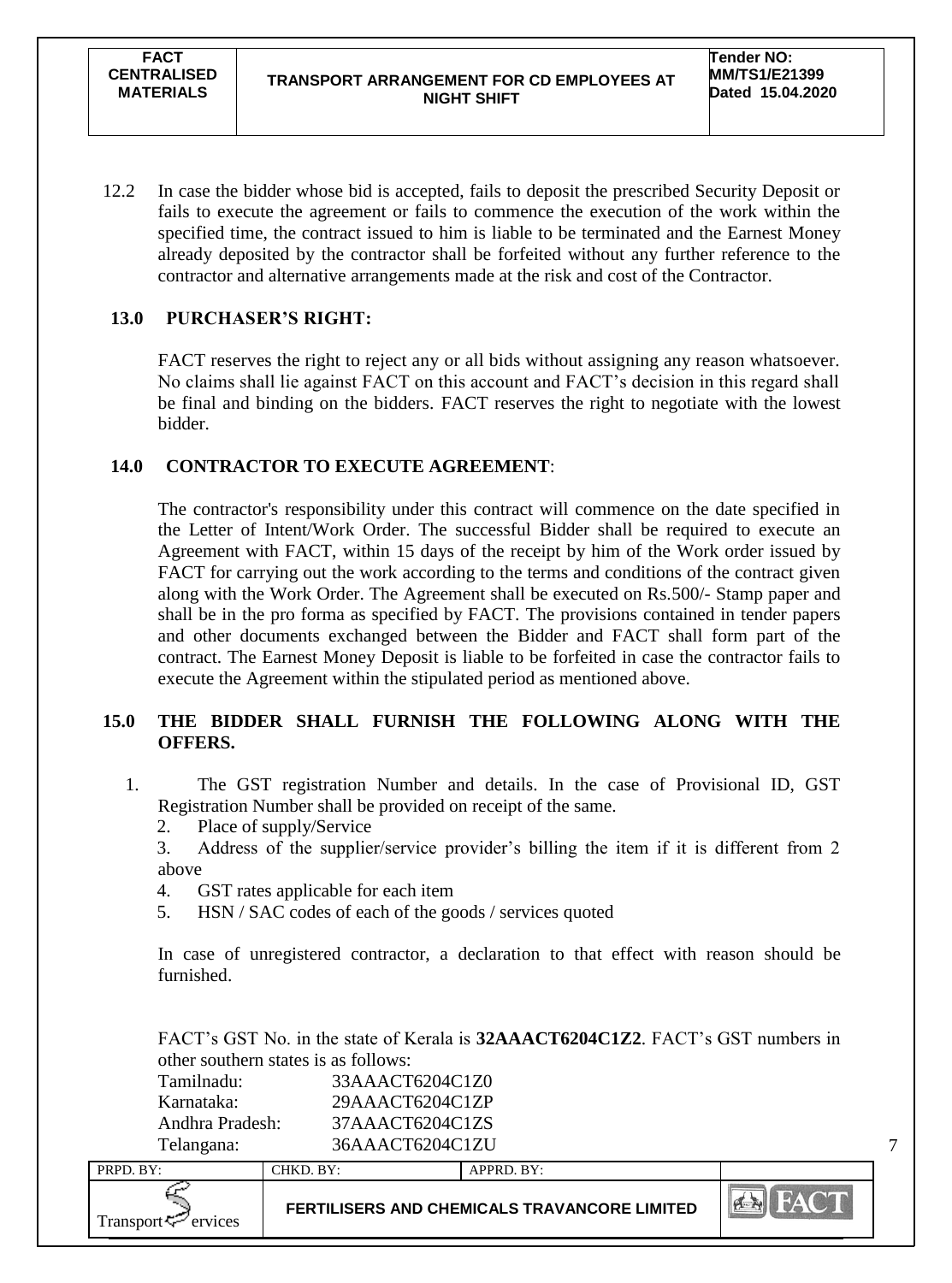12.2 In case the bidder whose bid is accepted, fails to deposit the prescribed Security Deposit or fails to execute the agreement or fails to commence the execution of the work within the specified time, the contract issued to him is liable to be terminated and the Earnest Money already deposited by the contractor shall be forfeited without any further reference to the contractor and alternative arrangements made at the risk and cost of the Contractor.

## **13.0 PURCHASER'S RIGHT:**

FACT reserves the right to reject any or all bids without assigning any reason whatsoever. No claims shall lie against FACT on this account and FACT"s decision in this regard shall be final and binding on the bidders. FACT reserves the right to negotiate with the lowest bidder.

## **14.0 CONTRACTOR TO EXECUTE AGREEMENT**:

The contractor's responsibility under this contract will commence on the date specified in the Letter of Intent/Work Order. The successful Bidder shall be required to execute an Agreement with FACT, within 15 days of the receipt by him of the Work order issued by FACT for carrying out the work according to the terms and conditions of the contract given along with the Work Order. The Agreement shall be executed on Rs.500/- Stamp paper and shall be in the pro forma as specified by FACT. The provisions contained in tender papers and other documents exchanged between the Bidder and FACT shall form part of the contract. The Earnest Money Deposit is liable to be forfeited in case the contractor fails to execute the Agreement within the stipulated period as mentioned above.

## **15.0 THE BIDDER SHALL FURNISH THE FOLLOWING ALONG WITH THE OFFERS.**

- 1. The GST registration Number and details. In the case of Provisional ID, GST Registration Number shall be provided on receipt of the same.
	- 2. Place of supply/Service
	- 3. Address of the supplier/service provider's billing the item if it is different from 2 above
	- 4. GST rates applicable for each item
	- 5. HSN / SAC codes of each of the goods / services quoted

In case of unregistered contractor, a declaration to that effect with reason should be furnished.

FACT"s GST No. in the state of Kerala is **32AAACT6204C1Z2**. FACT"s GST numbers in other southern states is as follows:

| Tamilnadu:      | 33AAACT6204C1Z0 |
|-----------------|-----------------|
| Karnataka:      | 29AAACT6204C1ZP |
| Andhra Pradesh: | 37AAACT6204C1ZS |
| Telangana:      | 36AAACT6204C1ZU |

| PRPD. BY:           | CHKD. BY: | APPRD. BY:                                          |     |
|---------------------|-----------|-----------------------------------------------------|-----|
| Transport < Frances |           | <b>FERTILISERS AND CHEMICALS TRAVANCORE LIMITED</b> | PER |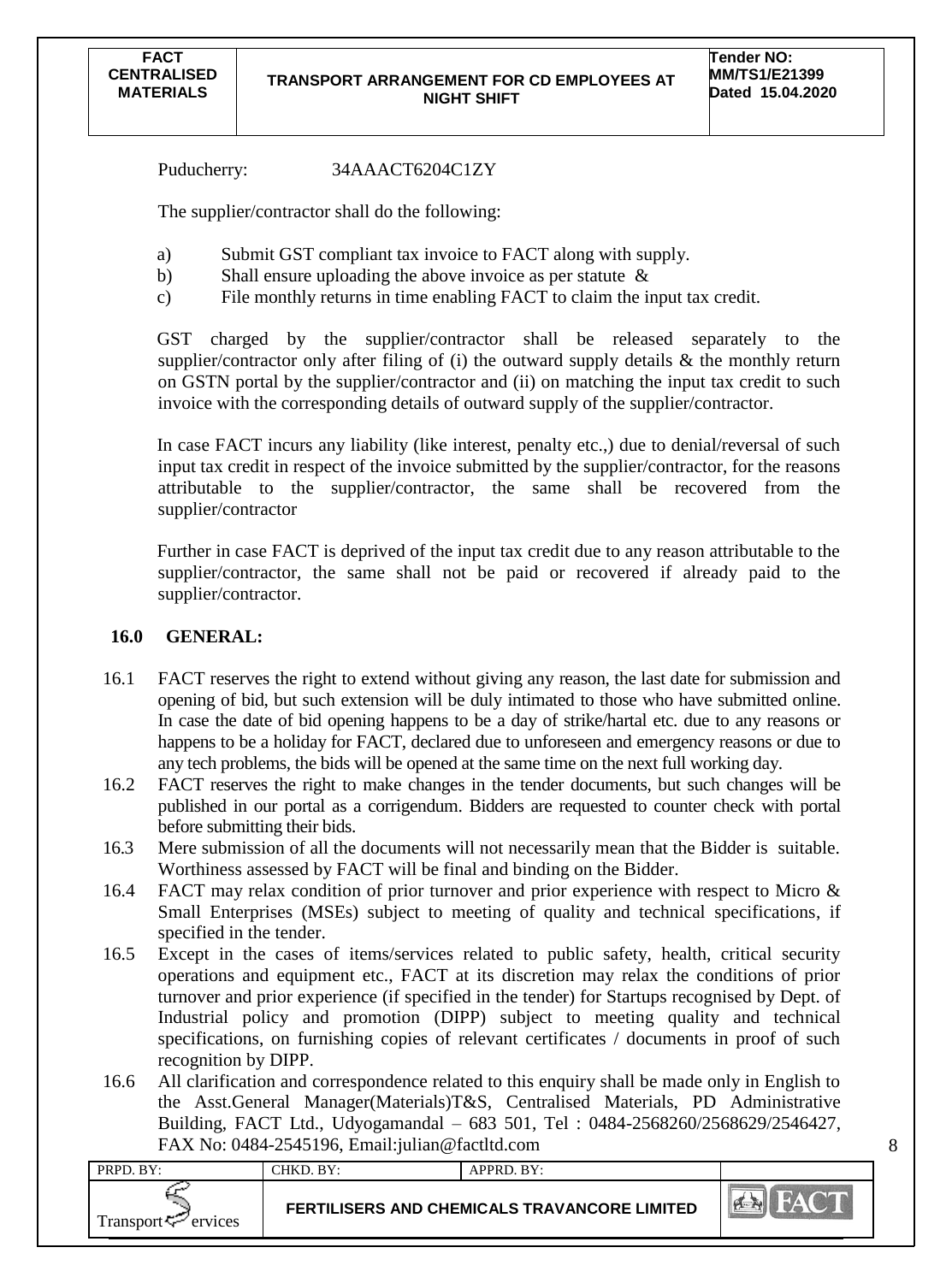Puducherry: 34AAACT6204C1ZY

The supplier/contractor shall do the following:

- a) Submit GST compliant tax invoice to FACT along with supply.
- b) Shall ensure uploading the above invoice as per statute &
- c) File monthly returns in time enabling FACT to claim the input tax credit.

GST charged by the supplier/contractor shall be released separately to the supplier/contractor only after filing of (i) the outward supply details  $\&$  the monthly return on GSTN portal by the supplier/contractor and (ii) on matching the input tax credit to such invoice with the corresponding details of outward supply of the supplier/contractor.

In case FACT incurs any liability (like interest, penalty etc.,) due to denial/reversal of such input tax credit in respect of the invoice submitted by the supplier/contractor, for the reasons attributable to the supplier/contractor, the same shall be recovered from the supplier/contractor

Further in case FACT is deprived of the input tax credit due to any reason attributable to the supplier/contractor, the same shall not be paid or recovered if already paid to the supplier/contractor.

### **16.0 GENERAL:**

- 16.1 FACT reserves the right to extend without giving any reason, the last date for submission and opening of bid, but such extension will be duly intimated to those who have submitted online. In case the date of bid opening happens to be a day of strike/hartal etc. due to any reasons or happens to be a holiday for FACT, declared due to unforeseen and emergency reasons or due to any tech problems, the bids will be opened at the same time on the next full working day.
- 16.2 FACT reserves the right to make changes in the tender documents, but such changes will be published in our portal as a corrigendum. Bidders are requested to counter check with portal before submitting their bids.
- 16.3 Mere submission of all the documents will not necessarily mean that the Bidder is suitable. Worthiness assessed by FACT will be final and binding on the Bidder.
- 16.4 FACT may relax condition of prior turnover and prior experience with respect to Micro & Small Enterprises (MSEs) subject to meeting of quality and technical specifications, if specified in the tender.
- 16.5 Except in the cases of items/services related to public safety, health, critical security operations and equipment etc., FACT at its discretion may relax the conditions of prior turnover and prior experience (if specified in the tender) for Startups recognised by Dept. of Industrial policy and promotion (DIPP) subject to meeting quality and technical specifications, on furnishing copies of relevant certificates / documents in proof of such recognition by DIPP.
- 16.6 All clarification and correspondence related to this enquiry shall be made only in English to the Asst.General Manager(Materials)T&S, Centralised Materials, PD Administrative Building, FACT Ltd., Udyogamandal – 683 501, Tel : 0484-2568260/2568629/2546427, FAX No: 0484-2545196, Email:julian@factltd.com

| PRPD. BY:                      | CHKD. BY:                                           | APPRD. BY: |      |
|--------------------------------|-----------------------------------------------------|------------|------|
| Transport <sup>7</sup> ervices | <b>FERTILISERS AND CHEMICALS TRAVANCORE LIMITED</b> |            | PART |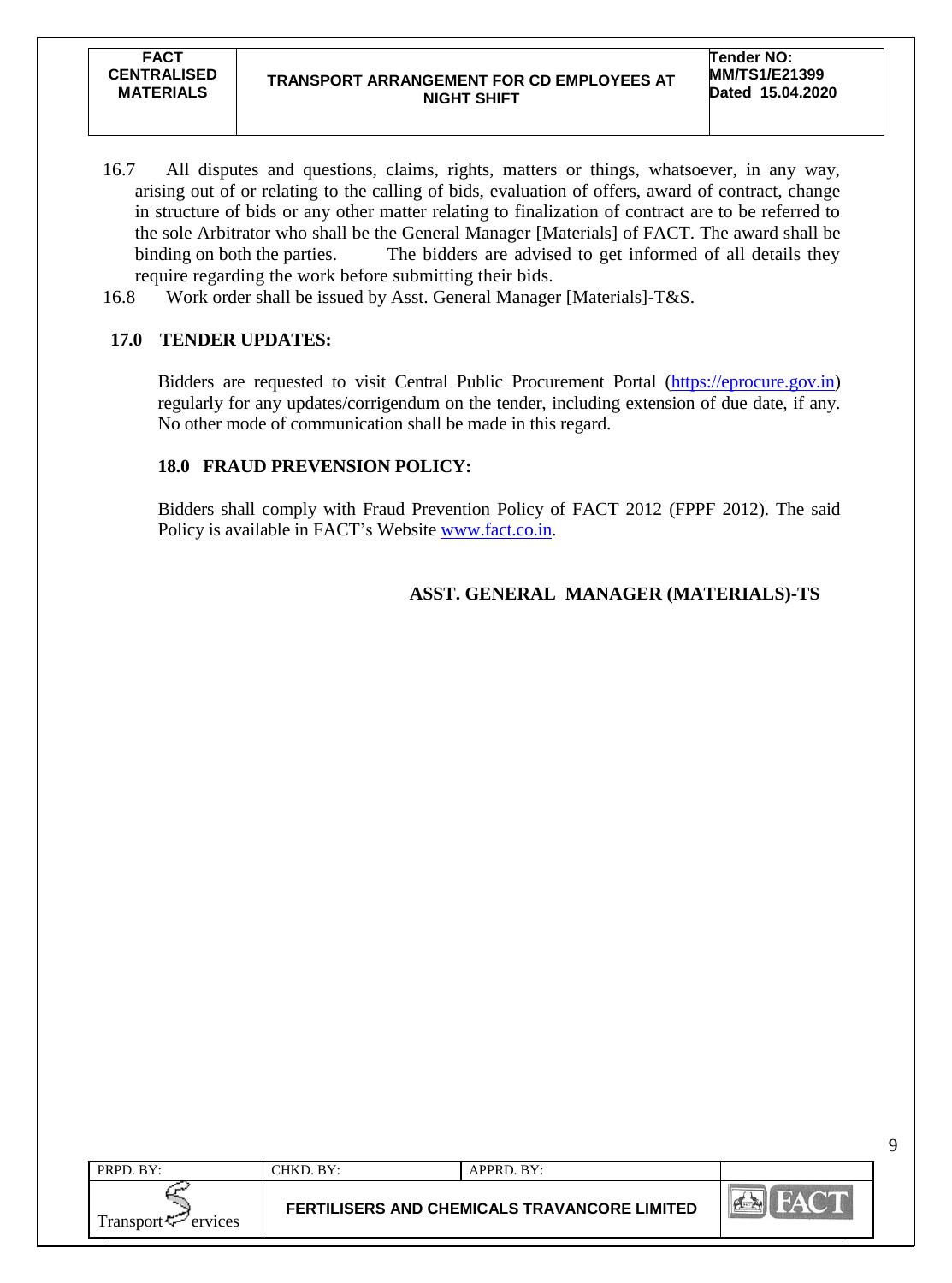- 16.7 All disputes and questions, claims, rights, matters or things, whatsoever, in any way, arising out of or relating to the calling of bids, evaluation of offers, award of contract, change in structure of bids or any other matter relating to finalization of contract are to be referred to the sole Arbitrator who shall be the General Manager [Materials] of FACT. The award shall be binding on both the parties. The bidders are advised to get informed of all details they require regarding the work before submitting their bids.
- 16.8 Work order shall be issued by Asst. General Manager [Materials]-T&S.

## **17.0 TENDER UPDATES:**

Bidders are requested to visit Central Public Procurement Portal [\(https://eprocure.gov.in\)](https://eprocure.gov.in/) regularly for any updates/corrigendum on the tender, including extension of due date, if any. No other mode of communication shall be made in this regard.

## **18.0 FRAUD PREVENSION POLICY:**

Bidders shall comply with Fraud Prevention Policy of FACT 2012 (FPPF 2012). The said Policy is available in FACT's Website [www.fact.co.in.](http://www.fact.co.in/)

## **ASST. GENERAL MANAGER (MATERIALS)-TS**

| PRPD. BY:            | $CHKD$ . BY:                                        | APPRD. BY: |    |
|----------------------|-----------------------------------------------------|------------|----|
| Transport<br>ervices | <b>FERTILISERS AND CHEMICALS TRAVANCORE LIMITED</b> |            | P. |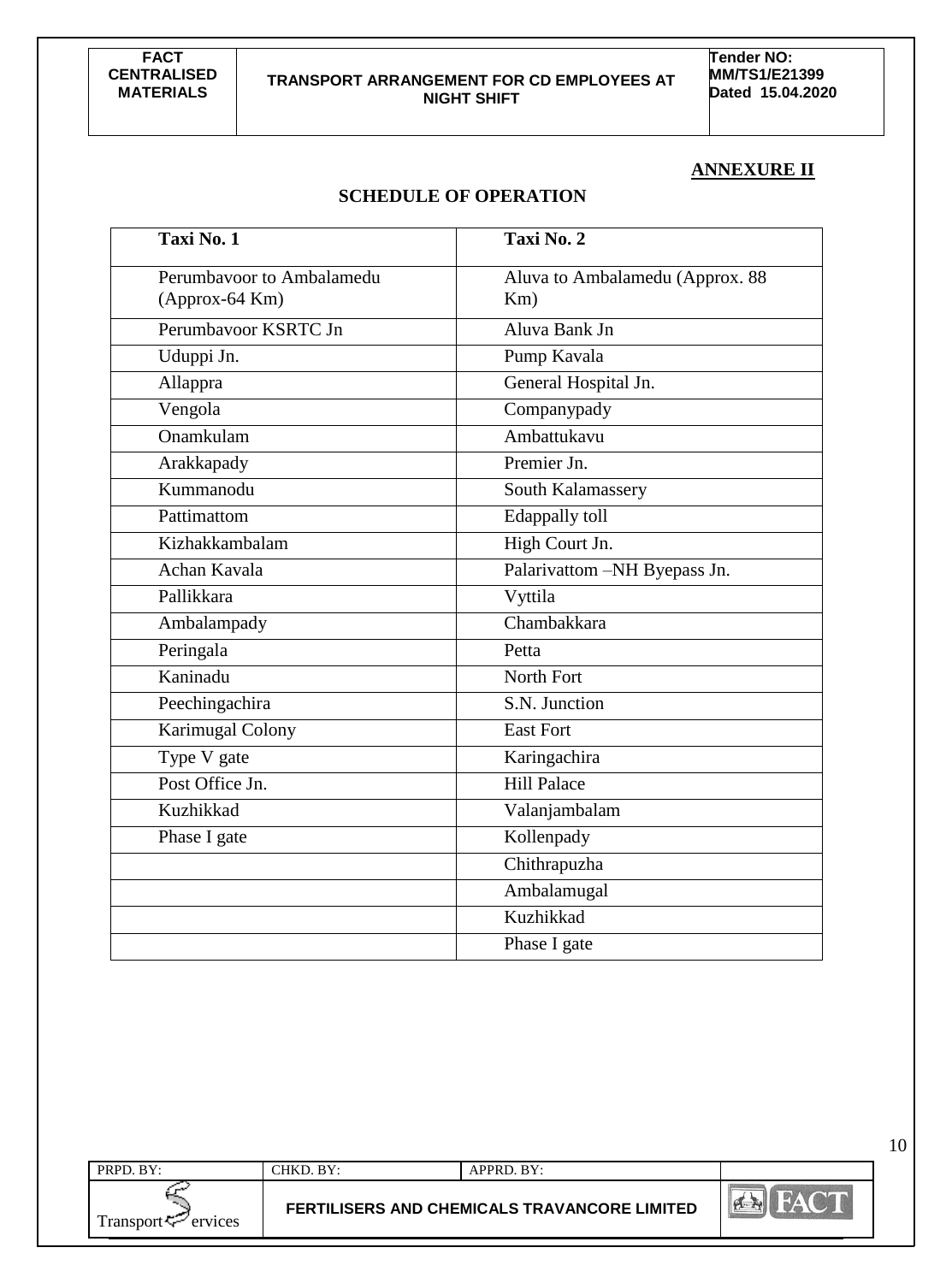**Tender NO: MM/TS1/E21399 Dated 15.04.2020**

10

#### **ANNEXURE II**

## **SCHEDULE OF OPERATION**

| Taxi No. 1                | Taxi No. 2                      |
|---------------------------|---------------------------------|
| Perumbayoor to Ambalamedu | Aluva to Ambalamedu (Approx. 88 |
| (Approx-64 Km)            | Km)                             |
| Perumbayoor KSRTC Jn      | Aluva Bank Jn                   |
| Uduppi Jn.                | Pump Kavala                     |
| Allappra                  | General Hospital Jn.            |
| Vengola                   | Companypady                     |
| Onamkulam                 | Ambattukavu                     |
| Arakkapady                | Premier Jn.                     |
| Kummanodu                 | South Kalamassery               |
| Pattimattom               | Edappally toll                  |
| Kizhakkambalam            | High Court Jn.                  |
| Achan Kavala              | Palarivattom -NH Byepass Jn.    |
| Pallikkara                | Vyttila                         |
| Ambalampady               | Chambakkara                     |
| Peringala                 | Petta                           |
| Kaninadu                  | North Fort                      |
| Peechingachira            | S.N. Junction                   |
| <b>Karimugal Colony</b>   | <b>East Fort</b>                |
| Type V gate               | Karingachira                    |
| Post Office Jn.           | <b>Hill Palace</b>              |
| Kuzhikkad                 | Valanjambalam                   |
| Phase I gate              | Kollenpady                      |
|                           | Chithrapuzha                    |
|                           | Ambalamugal                     |
|                           | Kuzhikkad                       |
|                           | Phase I gate                    |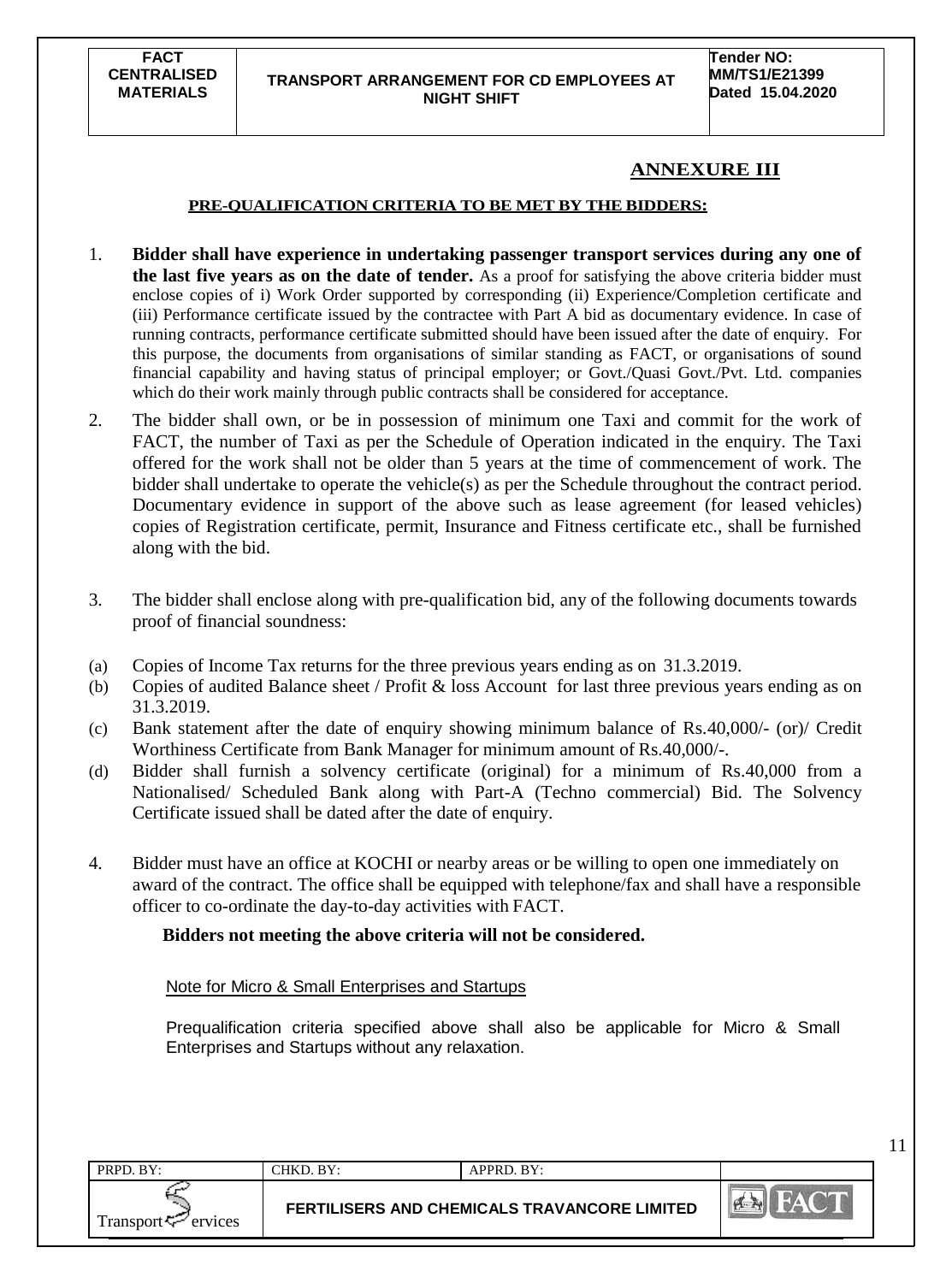#### **TRANSPORT ARRANGEMENT FOR CD EMPLOYEES AT NIGHT SHIFT**

11

## **ANNEXURE III**

#### **PRE-QUALIFICATION CRITERIA TO BE MET BY THE BIDDERS:**

- 1. **Bidder shall have experience in undertaking passenger transport services during any one of the last five years as on the date of tender.** As a proof for satisfying the above criteria bidder must enclose copies of i) Work Order supported by corresponding (ii) Experience/Completion certificate and (iii) Performance certificate issued by the contractee with Part A bid as documentary evidence. In case of running contracts, performance certificate submitted should have been issued after the date of enquiry. For this purpose, the documents from organisations of similar standing as FACT, or organisations of sound financial capability and having status of principal employer; or Govt./Quasi Govt./Pvt. Ltd. companies which do their work mainly through public contracts shall be considered for acceptance.
- 2. The bidder shall own, or be in possession of minimum one Taxi and commit for the work of FACT, the number of Taxi as per the Schedule of Operation indicated in the enquiry. The Taxi offered for the work shall not be older than 5 years at the time of commencement of work. The bidder shall undertake to operate the vehicle(s) as per the Schedule throughout the contract period. Documentary evidence in support of the above such as lease agreement (for leased vehicles) copies of Registration certificate, permit, Insurance and Fitness certificate etc., shall be furnished along with the bid.
- 3. The bidder shall enclose along with pre-qualification bid, any of the following documents towards proof of financial soundness:
- (a) Copies of Income Tax returns for the three previous years ending as on 31.3.2019.
- (b) Copies of audited Balance sheet / Profit & loss Account for last three previous years ending as on 31.3.2019.
- (c) Bank statement after the date of enquiry showing minimum balance of Rs.40,000/- (or)/ Credit Worthiness Certificate from Bank Manager for minimum amount of Rs.40,000/-.
- (d) Bidder shall furnish a solvency certificate (original) for a minimum of Rs.40,000 from a Nationalised/ Scheduled Bank along with Part-A (Techno commercial) Bid. The Solvency Certificate issued shall be dated after the date of enquiry.
- 4. Bidder must have an office at KOCHI or nearby areas or be willing to open one immediately on award of the contract. The office shall be equipped with telephone/fax and shall have a responsible officer to co-ordinate the day-to-day activities with FACT.

#### **Bidders not meeting the above criteria will not be considered.**

Note for Micro & Small Enterprises and Startups

Prequalification criteria specified above shall also be applicable for Micro & Small Enterprises and Startups without any relaxation.

| PRPD. BY:                  | CHKD. BY: | APPRD. BY:                                          |               |
|----------------------------|-----------|-----------------------------------------------------|---------------|
| Transport $\sharp$ ervices |           | <b>FERTILISERS AND CHEMICALS TRAVANCORE LIMITED</b> | $\ldots$ Keep |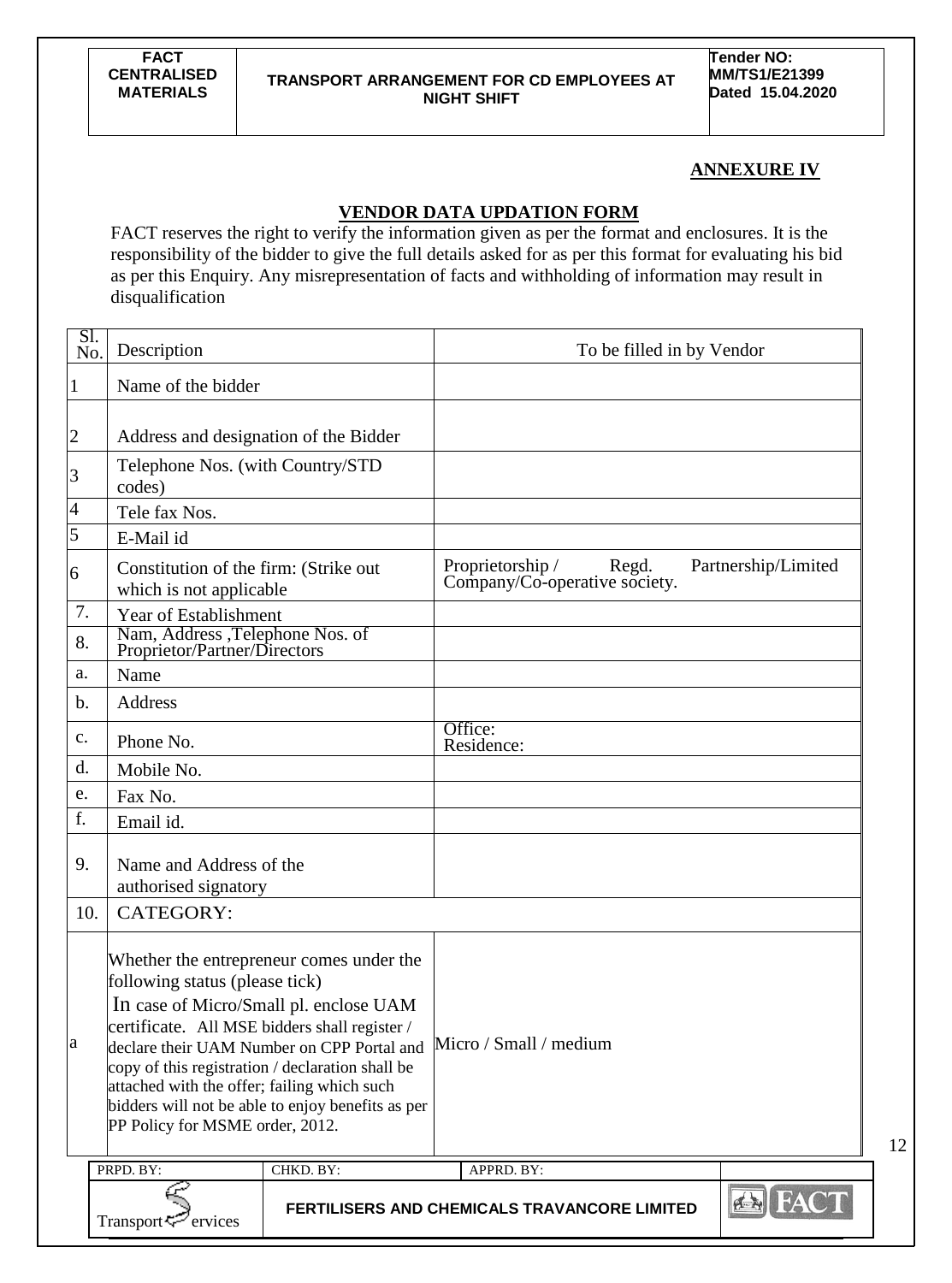**Tender NO: MM/TS1/E21399 Dated 15.04.2020**

12

## **ANNEXURE IV**

## **VENDOR DATA UPDATION FORM**

FACT reserves the right to verify the information given as per the format and enclosures. It is the responsibility of the bidder to give the full details asked for as per this format for evaluating his bid as per this Enquiry. Any misrepresentation of facts and withholding of information may result in disqualification

| Sl.<br>No.                       | Description                                                                                                                                                                                                           |                                                                                                                                                                                       | To be filled in by Vendor                                  |                     |
|----------------------------------|-----------------------------------------------------------------------------------------------------------------------------------------------------------------------------------------------------------------------|---------------------------------------------------------------------------------------------------------------------------------------------------------------------------------------|------------------------------------------------------------|---------------------|
| $\mathbf{1}$                     | Name of the bidder                                                                                                                                                                                                    |                                                                                                                                                                                       |                                                            |                     |
| $\overline{2}$<br>$\overline{3}$ | Address and designation of the Bidder<br>Telephone Nos. (with Country/STD<br>codes)                                                                                                                                   |                                                                                                                                                                                       |                                                            |                     |
| $\overline{4}$                   | Tele fax Nos.                                                                                                                                                                                                         |                                                                                                                                                                                       |                                                            |                     |
| 5                                | E-Mail id                                                                                                                                                                                                             |                                                                                                                                                                                       |                                                            |                     |
| 6                                | Constitution of the firm: (Strike out<br>which is not applicable                                                                                                                                                      |                                                                                                                                                                                       | Proprietorship /<br>Regd.<br>Company/Co-operative society. | Partnership/Limited |
| 7.<br>8.                         | Year of Establishment<br>Nam, Address ,Telephone Nos. of<br>Proprietor/Partner/Directors                                                                                                                              |                                                                                                                                                                                       |                                                            |                     |
| a.                               | Name                                                                                                                                                                                                                  |                                                                                                                                                                                       |                                                            |                     |
| $\mathbf b$ .                    | Address                                                                                                                                                                                                               |                                                                                                                                                                                       |                                                            |                     |
| $\mathbf{c}$ .                   | Phone No.                                                                                                                                                                                                             |                                                                                                                                                                                       | Office:<br>Residence:                                      |                     |
| d.                               | Mobile No.                                                                                                                                                                                                            |                                                                                                                                                                                       |                                                            |                     |
| e.                               | Fax No.                                                                                                                                                                                                               |                                                                                                                                                                                       |                                                            |                     |
| f.                               | Email id.                                                                                                                                                                                                             |                                                                                                                                                                                       |                                                            |                     |
| 9.                               | Name and Address of the<br>authorised signatory                                                                                                                                                                       |                                                                                                                                                                                       |                                                            |                     |
| 10.                              | CATEGORY:                                                                                                                                                                                                             |                                                                                                                                                                                       |                                                            |                     |
| a                                | following status (please tick)<br>certificate. All MSE bidders shall register /<br>copy of this registration / declaration shall be<br>attached with the offer; failing which such<br>PP Policy for MSME order, 2012. | Whether the entrepreneur comes under the<br>In case of Micro/Small pl. enclose UAM<br>declare their UAM Number on CPP Portal and<br>bidders will not be able to enjoy benefits as per | Micro / Small / medium                                     |                     |
|                                  | PRPD. BY:                                                                                                                                                                                                             | CHKD. BY:                                                                                                                                                                             | APPRD. BY:                                                 |                     |
|                                  | Transport <sup>7</sup> ervices                                                                                                                                                                                        |                                                                                                                                                                                       | FERTILISERS AND CHEMICALS TRAVANCORE LIMITED               | <b>BI FACT</b>      |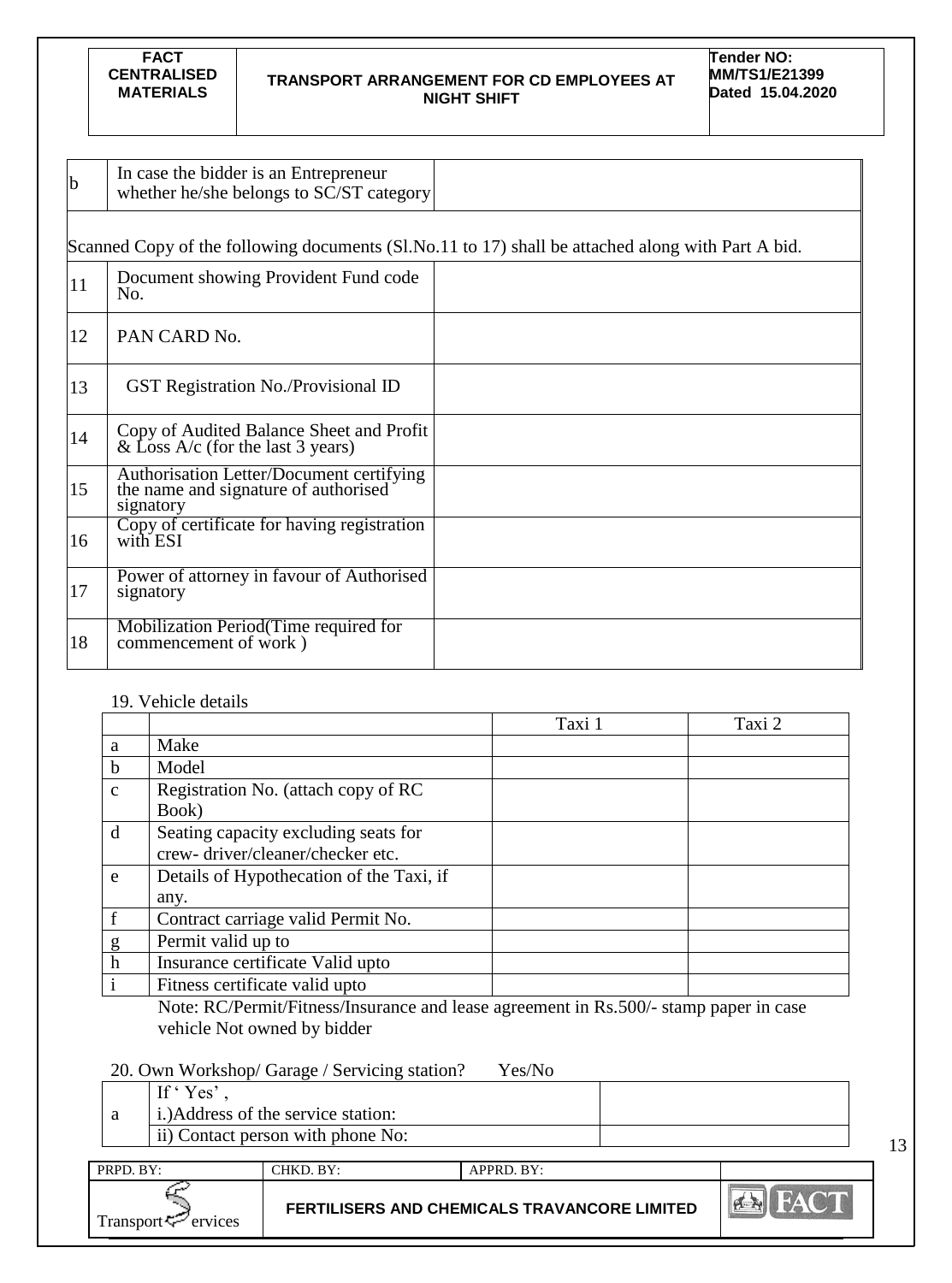#### **TRANSPORT ARRANGEMENT FOR CD EMPLOYEES AT NIGHT SHIFT**

**Tender NO: MM/TS1/E21399 Dated 15.04.2020**

| b  | In case the bidder is an Entrepreneur<br>whether he/she belongs to SC/ST category             |                                                                                                   |
|----|-----------------------------------------------------------------------------------------------|---------------------------------------------------------------------------------------------------|
|    |                                                                                               | Scanned Copy of the following documents (Sl.No.11 to 17) shall be attached along with Part A bid. |
| 11 | Document showing Provident Fund code<br>No.                                                   |                                                                                                   |
| 12 | PAN CARD No.                                                                                  |                                                                                                   |
| 13 | <b>GST Registration No./Provisional ID</b>                                                    |                                                                                                   |
| 14 | Copy of Audited Balance Sheet and Profit & Loss A/c (for the last 3 years)                    |                                                                                                   |
| 15 | Authorisation Letter/Document certifying<br>the name and signature of authorised<br>signatory |                                                                                                   |
| 16 | Copy of certificate for having registration<br>with ESI                                       |                                                                                                   |
| 17 | Power of attorney in favour of Authorised<br>signatory                                        |                                                                                                   |
| 18 | Mobilization Period (Time required for<br>commencement of work)                               |                                                                                                   |

## 19. Vehicle details

|               |                                          | Taxi 1 | Taxi 2 |
|---------------|------------------------------------------|--------|--------|
| a             | Make                                     |        |        |
| $\mathbf b$   | Model                                    |        |        |
| $\mathbf{C}$  | Registration No. (attach copy of RC      |        |        |
|               | Book)                                    |        |        |
| d             | Seating capacity excluding seats for     |        |        |
|               | crew-driver/cleaner/checker etc.         |        |        |
| e             | Details of Hypothecation of the Taxi, if |        |        |
|               | any.                                     |        |        |
| $\mathbf f$   | Contract carriage valid Permit No.       |        |        |
|               | Permit valid up to                       |        |        |
| $\frac{g}{h}$ | Insurance certificate Valid upto         |        |        |
| $\mathbf{i}$  | Fitness certificate valid upto           |        |        |

Note: RC/Permit/Fitness/Insurance and lease agreement in Rs.500/- stamp paper in case vehicle Not owned by bidder

## 20. Own Workshop/ Garage / Servicing station? Yes/No

PRPD. BY: CHKD. BY: APPRD. BY:

| If 'Yes'<br>i.) Address of the service station: |  |
|-------------------------------------------------|--|
| ii) Contact person with phone No:               |  |
|                                                 |  |

| $\mathbf{r}$<br>Transport — ervices | <b>FERTILISERS AND CHEMICALS TRAVANCORE LIMITED</b> | H |
|-------------------------------------|-----------------------------------------------------|---|
|-------------------------------------|-----------------------------------------------------|---|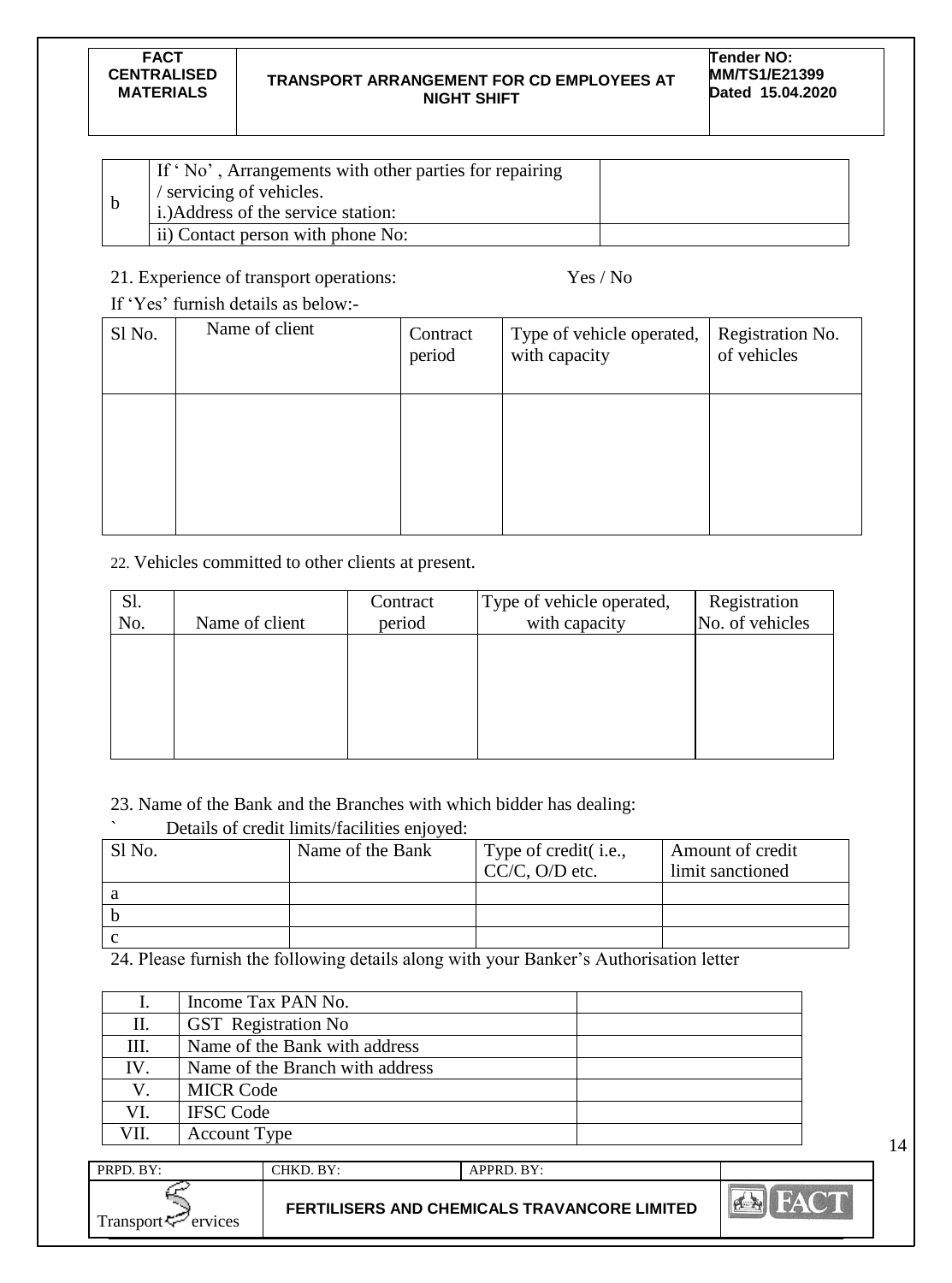#### **TRANSPORT ARRANGEMENT FOR CD EMPLOYEES AT NIGHT SHIFT**

| If 'No', Arrangements with other parties for repairing<br>servicing of vehicles.<br>i.) Address of the service station: |  |
|-------------------------------------------------------------------------------------------------------------------------|--|
| ii) Contact person with phone No:                                                                                       |  |

## 21. Experience of transport operations: Yes / No

If "Yes" furnish details as below:-

| Sl No. | Name of client | Contract<br>period | Type of vehicle operated,<br>with capacity | Registration No.<br>of vehicles |
|--------|----------------|--------------------|--------------------------------------------|---------------------------------|
|        |                |                    |                                            |                                 |

22. Vehicles committed to other clients at present.

| Sl.<br>No. | Name of client | Contract<br>period | Type of vehicle operated,<br>with capacity | Registration<br>No. of vehicles |
|------------|----------------|--------------------|--------------------------------------------|---------------------------------|
|            |                |                    |                                            |                                 |
|            |                |                    |                                            |                                 |
|            |                |                    |                                            |                                 |

## 23. Name of the Bank and the Branches with which bidder has dealing:

|        | Details of credit limits/facilities enjoyed: |                       |                  |
|--------|----------------------------------------------|-----------------------|------------------|
| Sl No. | Name of the Bank                             | Type of credit (i.e., | Amount of credit |
|        |                                              | $CC/C$ , O/D etc.     | limit sanctioned |
|        |                                              |                       |                  |
|        |                                              |                       |                  |
|        |                                              |                       |                  |

24. Please furnish the following details along with your Banker"s Authorisation letter

|      | Income Tax PAN No.              |
|------|---------------------------------|
| П.   | GST Registration No             |
| Ш.   | Name of the Bank with address   |
| IV.  | Name of the Branch with address |
| V.   | <b>MICR Code</b>                |
| VI.  | <b>IFSC Code</b>                |
| VII. | <b>Account Type</b>             |

| PRPD. BY:                       | CHKD. BY: | APPRD. BY:                                   |              |
|---------------------------------|-----------|----------------------------------------------|--------------|
| Transport <sup>ry</sup> ervices |           | FERTILISERS AND CHEMICALS TRAVANCORE LIMITED | <b>PERTY</b> |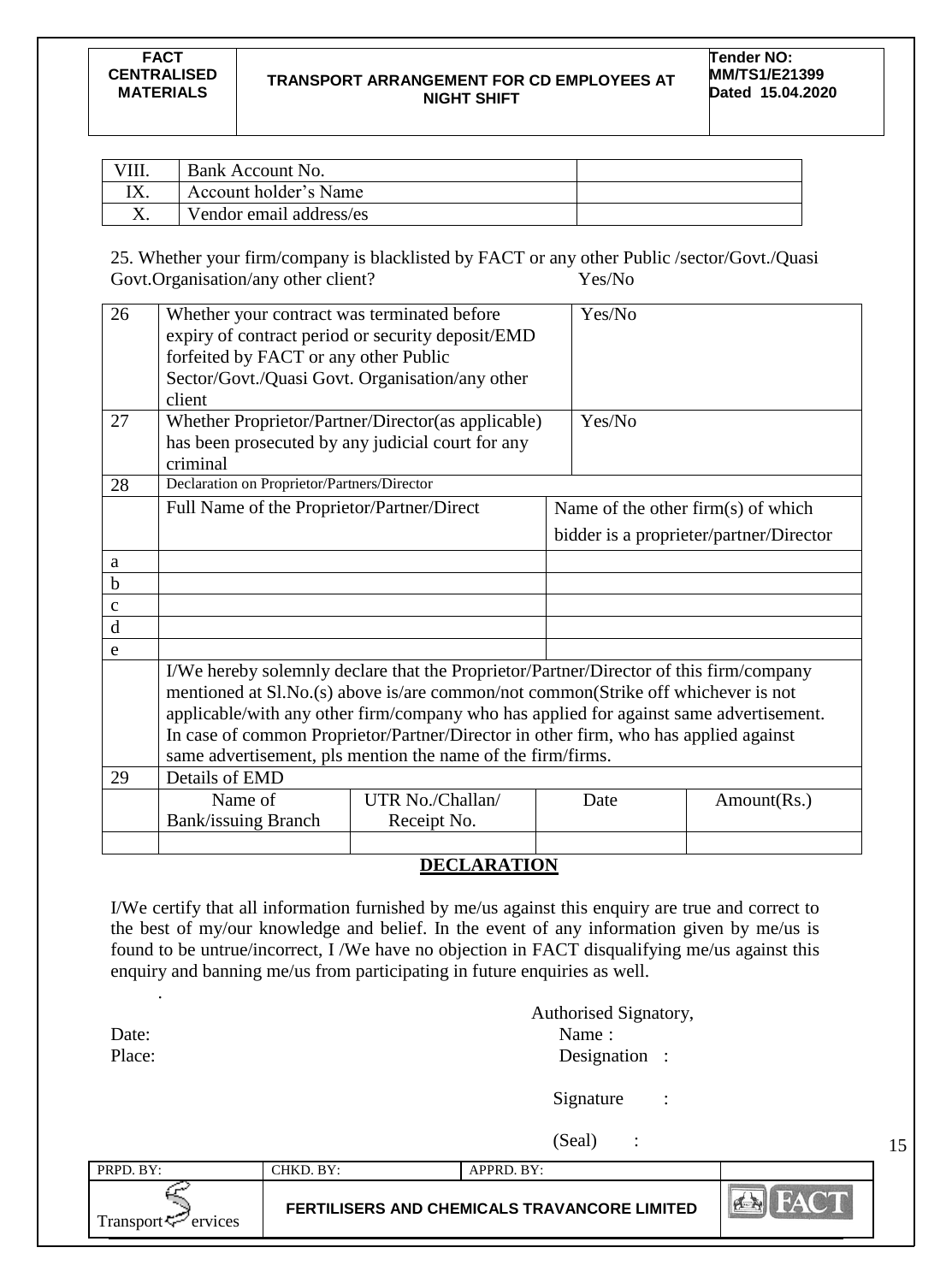#### **TRANSPORT ARRANGEMENT FOR CD EMPLOYEES AT NIGHT SHIFT**

| Bank Account No.        |  |
|-------------------------|--|
| Account holder's Name   |  |
| Vendor email address/es |  |

25. Whether your firm/company is blacklisted by FACT or any other Public /sector/Govt./Quasi Govt.Organisation/any other client? Yes/No

| 26           | Whether your contract was terminated before<br>forfeited by FACT or any other Public<br>Sector/Govt./Quasi Govt. Organisation/any other<br>client                                                                                                                                                                                                                                                                            | expiry of contract period or security deposit/EMD  |  | Yes/No |                                         |
|--------------|------------------------------------------------------------------------------------------------------------------------------------------------------------------------------------------------------------------------------------------------------------------------------------------------------------------------------------------------------------------------------------------------------------------------------|----------------------------------------------------|--|--------|-----------------------------------------|
| 27           | has been prosecuted by any judicial court for any<br>criminal                                                                                                                                                                                                                                                                                                                                                                | Whether Proprietor/Partner/Director(as applicable) |  | Yes/No |                                         |
| 28           | Declaration on Proprietor/Partners/Director                                                                                                                                                                                                                                                                                                                                                                                  |                                                    |  |        |                                         |
|              | Full Name of the Proprietor/Partner/Direct                                                                                                                                                                                                                                                                                                                                                                                   |                                                    |  |        | Name of the other firm(s) of which      |
|              |                                                                                                                                                                                                                                                                                                                                                                                                                              |                                                    |  |        | bidder is a proprieter/partner/Director |
| a            |                                                                                                                                                                                                                                                                                                                                                                                                                              |                                                    |  |        |                                         |
| $\mathbf b$  |                                                                                                                                                                                                                                                                                                                                                                                                                              |                                                    |  |        |                                         |
| $\mathbf{C}$ |                                                                                                                                                                                                                                                                                                                                                                                                                              |                                                    |  |        |                                         |
| $\mathbf d$  |                                                                                                                                                                                                                                                                                                                                                                                                                              |                                                    |  |        |                                         |
| e            |                                                                                                                                                                                                                                                                                                                                                                                                                              |                                                    |  |        |                                         |
|              | I/We hereby solemnly declare that the Proprietor/Partner/Director of this firm/company<br>mentioned at Sl.No.(s) above is/are common/not common(Strike off whichever is not<br>applicable/with any other firm/company who has applied for against same advertisement.<br>In case of common Proprietor/Partner/Director in other firm, who has applied against<br>same advertisement, pls mention the name of the firm/firms. |                                                    |  |        |                                         |
| 29           | Details of EMD                                                                                                                                                                                                                                                                                                                                                                                                               |                                                    |  |        |                                         |
|              | Name of<br><b>Bank/issuing Branch</b>                                                                                                                                                                                                                                                                                                                                                                                        | UTR No./Challan/<br>Receipt No.                    |  | Date   | Amount(Rs.)                             |
|              |                                                                                                                                                                                                                                                                                                                                                                                                                              |                                                    |  |        |                                         |

## **DECLARATION**

I/We certify that all information furnished by me/us against this enquiry are true and correct to the best of my/our knowledge and belief. In the event of any information given by me/us is found to be untrue/incorrect, I /We have no objection in FACT disqualifying me/us against this enquiry and banning me/us from participating in future enquiries as well.

.

|        | <b>Authorised Signatory,</b> |  |
|--------|------------------------------|--|
| Date:  | Name:                        |  |
| Place: | Designation :                |  |

Signature :

(Seal) :

15

PRPD. BY: CHKD. BY: APPRD. BY: **B FERTILISERS AND CHEMICALS TRAVANCORE LIMITED** Transport  $\leq$  ervices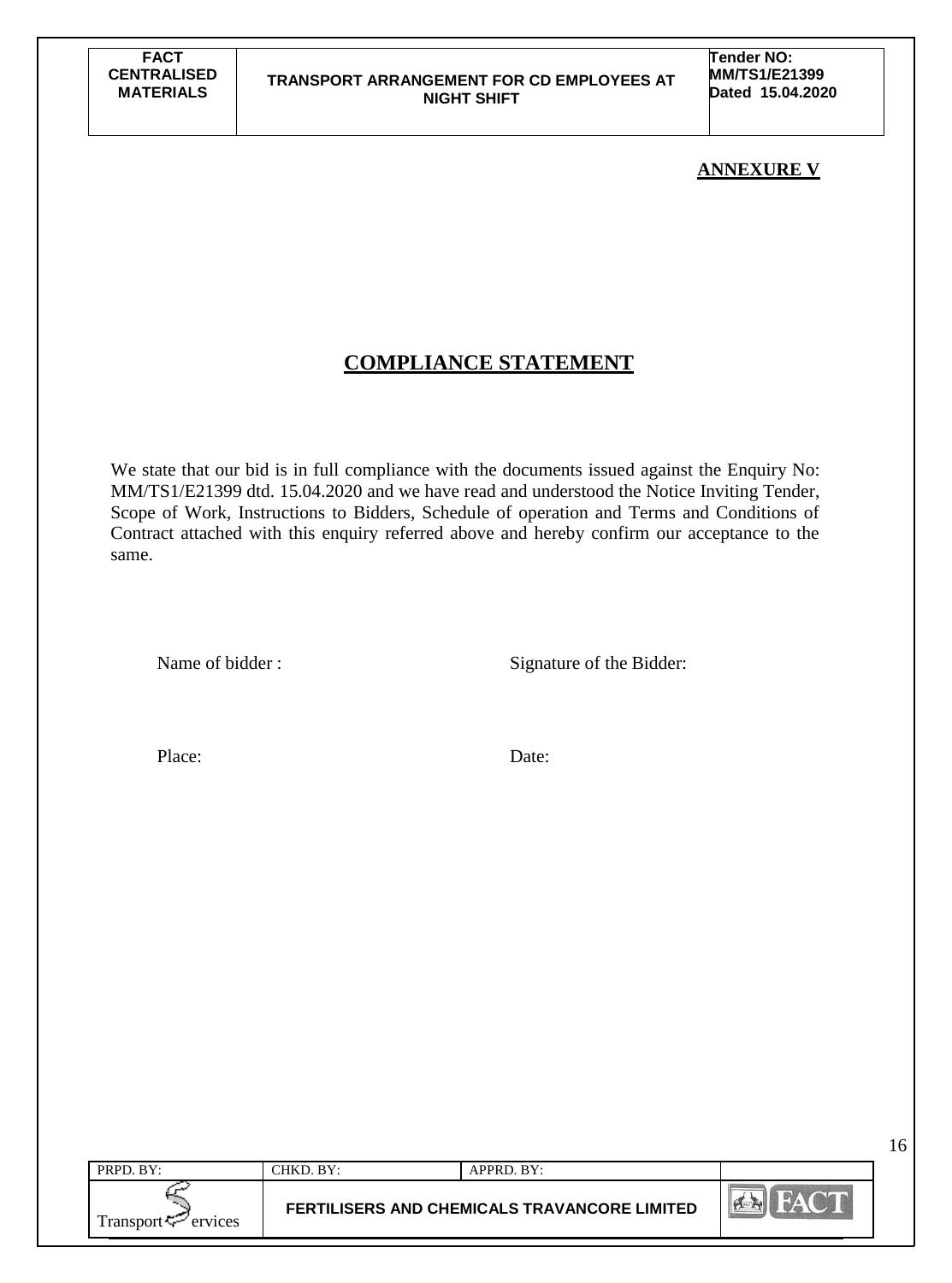**Tender NO: MM/TS1/E21399 Dated 15.04.2020**

## **ANNEXURE V**

16

## **COMPLIANCE STATEMENT**

We state that our bid is in full compliance with the documents issued against the Enquiry No: MM/TS1/E21399 dtd. 15.04.2020 and we have read and understood the Notice Inviting Tender, Scope of Work, Instructions to Bidders, Schedule of operation and Terms and Conditions of Contract attached with this enquiry referred above and hereby confirm our acceptance to the same.

Name of bidder : Signature of the Bidder:

Place: Date:

| PRPD. BY:           | CHKD. BY: | APPRD. BY:                                   |              |
|---------------------|-----------|----------------------------------------------|--------------|
| Transport < Frances |           | FERTILISERS AND CHEMICALS TRAVANCORE LIMITED | <b>PLANT</b> |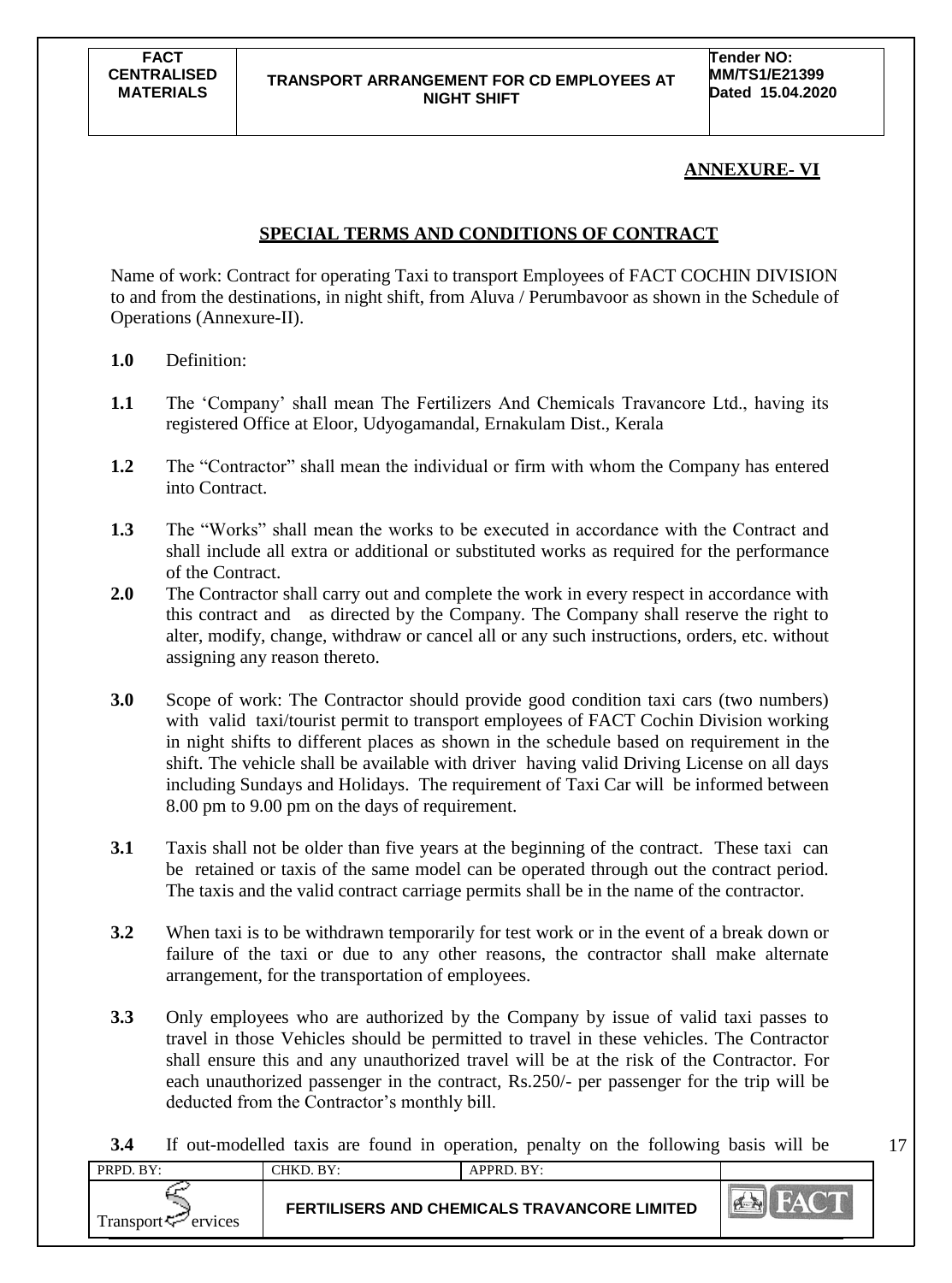17

## **ANNEXURE- VI**

## **SPECIAL TERMS AND CONDITIONS OF CONTRACT**

Name of work: Contract for operating Taxi to transport Employees of FACT COCHIN DIVISION to and from the destinations, in night shift, from Aluva / Perumbavoor as shown in the Schedule of Operations (Annexure-II).

- **1.0** Definition:
- **1.1** The 'Company' shall mean The Fertilizers And Chemicals Travancore Ltd., having its registered Office at Eloor, Udyogamandal, Ernakulam Dist., Kerala
- **1.2** The "Contractor" shall mean the individual or firm with whom the Company has entered into Contract.
- **1.3** The "Works" shall mean the works to be executed in accordance with the Contract and shall include all extra or additional or substituted works as required for the performance of the Contract.
- **2.0** The Contractor shall carry out and complete the work in every respect in accordance with this contract and as directed by the Company. The Company shall reserve the right to alter, modify, change, withdraw or cancel all or any such instructions, orders, etc. without assigning any reason thereto.
- **3.0** Scope of work: The Contractor should provide good condition taxi cars (two numbers) with valid taxi/tourist permit to transport employees of FACT Cochin Division working in night shifts to different places as shown in the schedule based on requirement in the shift. The vehicle shall be available with driver having valid Driving License on all days including Sundays and Holidays. The requirement of Taxi Car will be informed between 8.00 pm to 9.00 pm on the days of requirement.
- **3.1** Taxis shall not be older than five years at the beginning of the contract. These taxi can be retained or taxis of the same model can be operated through out the contract period. The taxis and the valid contract carriage permits shall be in the name of the contractor.
- **3.2** When taxi is to be withdrawn temporarily for test work or in the event of a break down or failure of the taxi or due to any other reasons, the contractor shall make alternate arrangement, for the transportation of employees.
- **3.3** Only employees who are authorized by the Company by issue of valid taxi passes to travel in those Vehicles should be permitted to travel in these vehicles. The Contractor shall ensure this and any unauthorized travel will be at the risk of the Contractor. For each unauthorized passenger in the contract, Rs.250/- per passenger for the trip will be deducted from the Contractor's monthly bill.

**3.4** If out-modelled taxis are found in operation, penalty on the following basis will be

| PRPD. BY:           | CHKD. BY: | APPRD. BY:                                          |  |
|---------------------|-----------|-----------------------------------------------------|--|
| Transport ⊊ ervices |           | <b>FERTILISERS AND CHEMICALS TRAVANCORE LIMITED</b> |  |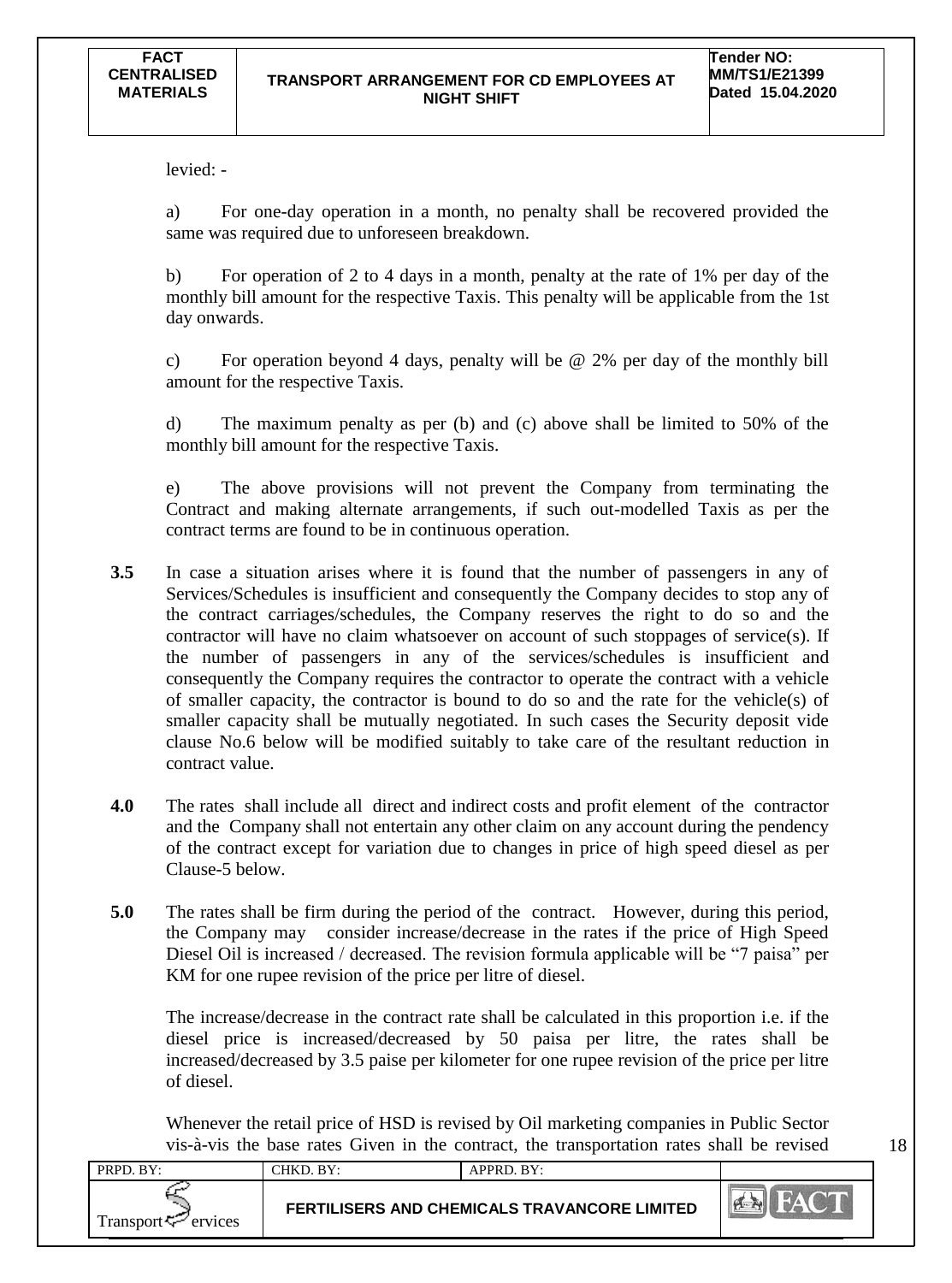levied: -

a) For one-day operation in a month, no penalty shall be recovered provided the same was required due to unforeseen breakdown.

b) For operation of 2 to 4 days in a month, penalty at the rate of 1% per day of the monthly bill amount for the respective Taxis. This penalty will be applicable from the 1st day onwards.

c) For operation beyond 4 days, penalty will be @ 2% per day of the monthly bill amount for the respective Taxis.

d) The maximum penalty as per (b) and (c) above shall be limited to 50% of the monthly bill amount for the respective Taxis.

e) The above provisions will not prevent the Company from terminating the Contract and making alternate arrangements, if such out-modelled Taxis as per the contract terms are found to be in continuous operation.

- **3.5** In case a situation arises where it is found that the number of passengers in any of Services/Schedules is insufficient and consequently the Company decides to stop any of the contract carriages/schedules, the Company reserves the right to do so and the contractor will have no claim whatsoever on account of such stoppages of service(s). If the number of passengers in any of the services/schedules is insufficient and consequently the Company requires the contractor to operate the contract with a vehicle of smaller capacity, the contractor is bound to do so and the rate for the vehicle(s) of smaller capacity shall be mutually negotiated. In such cases the Security deposit vide clause No.6 below will be modified suitably to take care of the resultant reduction in contract value.
- **4.0** The rates shall include all direct and indirect costs and profit element of the contractor and the Company shall not entertain any other claim on any account during the pendency of the contract except for variation due to changes in price of high speed diesel as per Clause-5 below.
- **5.0** The rates shall be firm during the period of the contract. However, during this period, the Company may consider increase/decrease in the rates if the price of High Speed Diesel Oil is increased / decreased. The revision formula applicable will be "7 paisa" per KM for one rupee revision of the price per litre of diesel.

The increase/decrease in the contract rate shall be calculated in this proportion i.e. if the diesel price is increased/decreased by 50 paisa per litre, the rates shall be increased/decreased by 3.5 paise per kilometer for one rupee revision of the price per litre of diesel.

Whenever the retail price of HSD is revised by Oil marketing companies in Public Sector vis-à-vis the base rates Given in the contract, the transportation rates shall be revised

| PRPD. BY:                      | CHKD. BY:                                           | $APPRD$ . $BY:$ |  |
|--------------------------------|-----------------------------------------------------|-----------------|--|
| Transport <sup>7</sup> ervices | <b>FERTILISERS AND CHEMICALS TRAVANCORE LIMITED</b> |                 |  |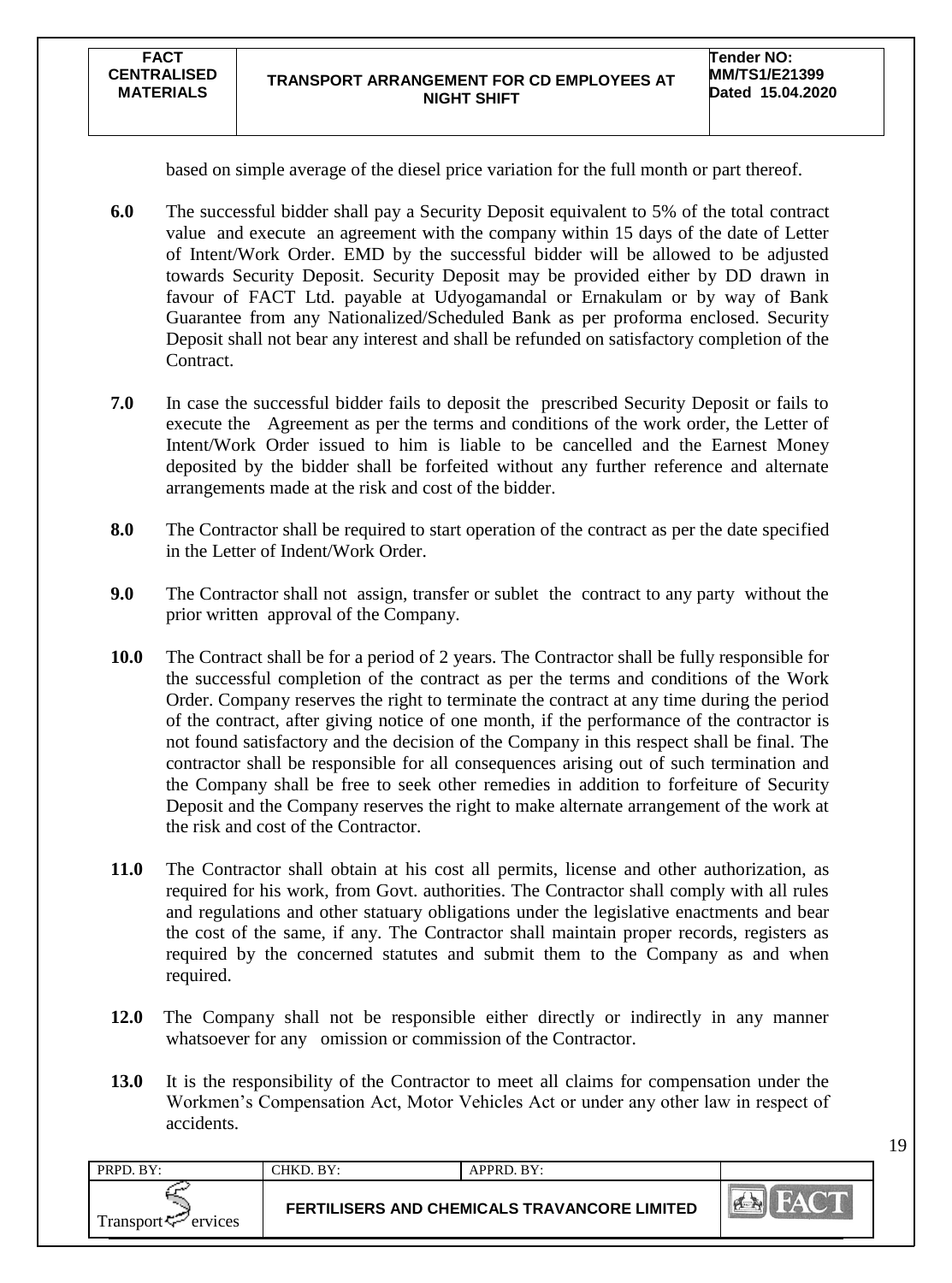based on simple average of the diesel price variation for the full month or part thereof.

- **6.0** The successful bidder shall pay a Security Deposit equivalent to 5% of the total contract value and execute an agreement with the company within 15 days of the date of Letter of Intent/Work Order. EMD by the successful bidder will be allowed to be adjusted towards Security Deposit. Security Deposit may be provided either by DD drawn in favour of FACT Ltd. payable at Udyogamandal or Ernakulam or by way of Bank Guarantee from any Nationalized/Scheduled Bank as per proforma enclosed. Security Deposit shall not bear any interest and shall be refunded on satisfactory completion of the Contract.
- **7.0** In case the successful bidder fails to deposit the prescribed Security Deposit or fails to execute the Agreement as per the terms and conditions of the work order, the Letter of Intent/Work Order issued to him is liable to be cancelled and the Earnest Money deposited by the bidder shall be forfeited without any further reference and alternate arrangements made at the risk and cost of the bidder.
- **8.0** The Contractor shall be required to start operation of the contract as per the date specified in the Letter of Indent/Work Order.
- **9.0** The Contractor shall not assign, transfer or sublet the contract to any party without the prior written approval of the Company.
- **10.0** The Contract shall be for a period of 2 years. The Contractor shall be fully responsible for the successful completion of the contract as per the terms and conditions of the Work Order. Company reserves the right to terminate the contract at any time during the period of the contract, after giving notice of one month, if the performance of the contractor is not found satisfactory and the decision of the Company in this respect shall be final. The contractor shall be responsible for all consequences arising out of such termination and the Company shall be free to seek other remedies in addition to forfeiture of Security Deposit and the Company reserves the right to make alternate arrangement of the work at the risk and cost of the Contractor.
- **11.0** The Contractor shall obtain at his cost all permits, license and other authorization, as required for his work, from Govt. authorities. The Contractor shall comply with all rules and regulations and other statuary obligations under the legislative enactments and bear the cost of the same, if any. The Contractor shall maintain proper records, registers as required by the concerned statutes and submit them to the Company as and when required.
- **12.0** The Company shall not be responsible either directly or indirectly in any manner whatsoever for any omission or commission of the Contractor.
- **13.0** It is the responsibility of the Contractor to meet all claims for compensation under the Workmen"s Compensation Act, Motor Vehicles Act or under any other law in respect of accidents.

| PRPD. BY:                      | CHKD. BY:                                           | APPRD. BY: |                    |
|--------------------------------|-----------------------------------------------------|------------|--------------------|
| Transport <sup>7</sup> ervices | <b>FERTILISERS AND CHEMICALS TRAVANCORE LIMITED</b> |            | President<br>$M^4$ |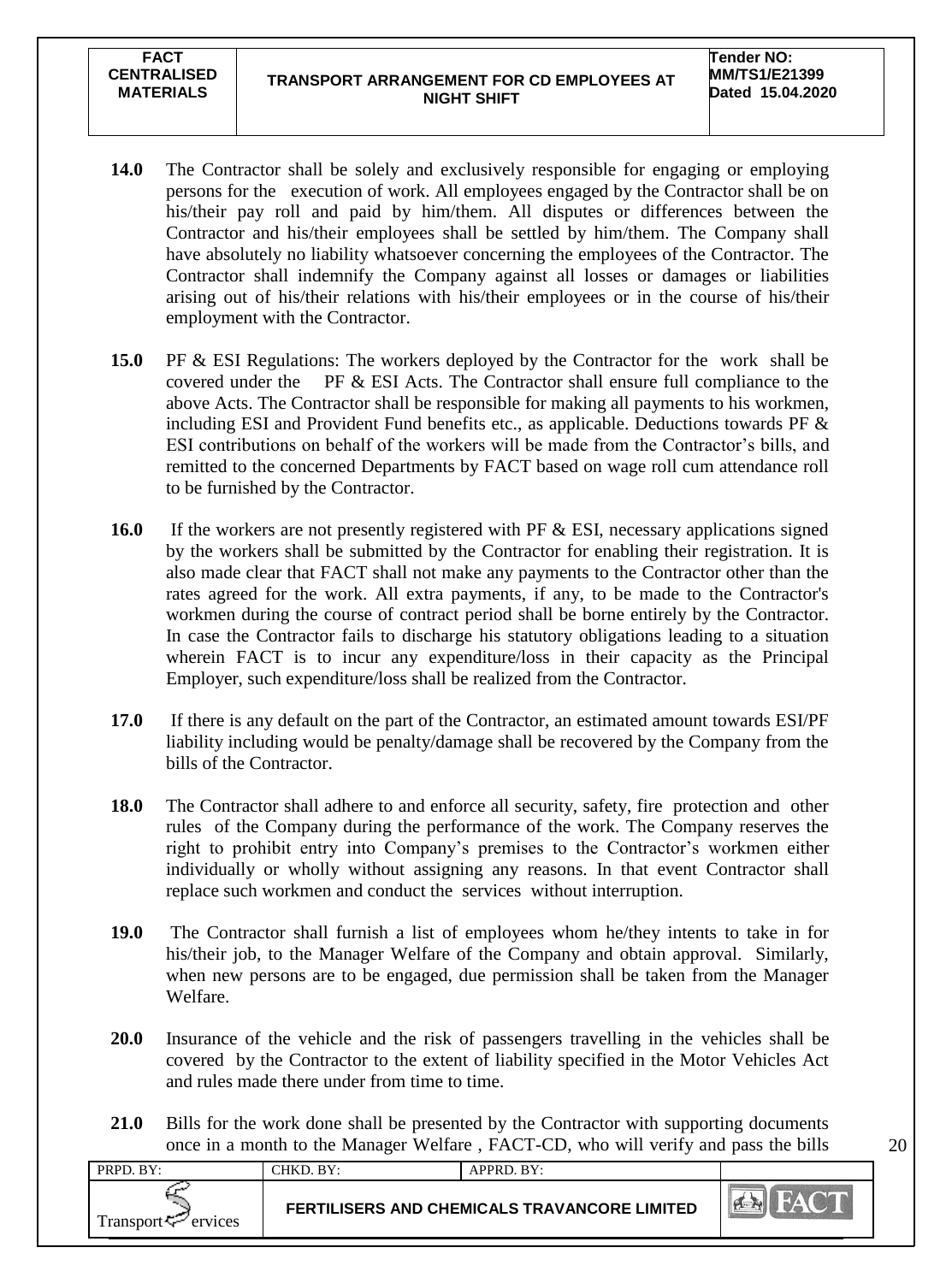**CENTRALISED MATERIALS**

**FACT** 

- **14.0** The Contractor shall be solely and exclusively responsible for engaging or employing persons for the execution of work. All employees engaged by the Contractor shall be on his/their pay roll and paid by him/them. All disputes or differences between the Contractor and his/their employees shall be settled by him/them. The Company shall have absolutely no liability whatsoever concerning the employees of the Contractor. The Contractor shall indemnify the Company against all losses or damages or liabilities arising out of his/their relations with his/their employees or in the course of his/their employment with the Contractor.
- **15.0** PF & ESI Regulations: The workers deployed by the Contractor for the work shall be covered under the PF & ESI Acts. The Contractor shall ensure full compliance to the above Acts. The Contractor shall be responsible for making all payments to his workmen, including ESI and Provident Fund benefits etc., as applicable. Deductions towards PF  $\&$ ESI contributions on behalf of the workers will be made from the Contractor's bills, and remitted to the concerned Departments by FACT based on wage roll cum attendance roll to be furnished by the Contractor.
- **16.0** If the workers are not presently registered with PF & ESI, necessary applications signed by the workers shall be submitted by the Contractor for enabling their registration. It is also made clear that FACT shall not make any payments to the Contractor other than the rates agreed for the work. All extra payments, if any, to be made to the Contractor's workmen during the course of contract period shall be borne entirely by the Contractor. In case the Contractor fails to discharge his statutory obligations leading to a situation wherein FACT is to incur any expenditure/loss in their capacity as the Principal Employer, such expenditure/loss shall be realized from the Contractor.
- **17.0** If there is any default on the part of the Contractor, an estimated amount towards ESI/PF liability including would be penalty/damage shall be recovered by the Company from the bills of the Contractor.
- **18.0** The Contractor shall adhere to and enforce all security, safety, fire protection and other rules of the Company during the performance of the work. The Company reserves the right to prohibit entry into Company's premises to the Contractor's workmen either individually or wholly without assigning any reasons. In that event Contractor shall replace such workmen and conduct the services without interruption.
- **19.0** The Contractor shall furnish a list of employees whom he/they intents to take in for his/their job, to the Manager Welfare of the Company and obtain approval. Similarly, when new persons are to be engaged, due permission shall be taken from the Manager Welfare.
- **20.0** Insurance of the vehicle and the risk of passengers travelling in the vehicles shall be covered by the Contractor to the extent of liability specified in the Motor Vehicles Act and rules made there under from time to time.
- 21.0 Bills for the work done shall be presented by the Contractor with supporting documents once in a month to the Manager Welfare , FACT-CD, who will verify and pass the bills

| PRPD. BY:           | CHKD. BY: | APPRD. BY:                                          |                  |
|---------------------|-----------|-----------------------------------------------------|------------------|
| Transport < Frances |           | <b>FERTILISERS AND CHEMICALS TRAVANCORE LIMITED</b> | $\sum_{i=1}^{n}$ |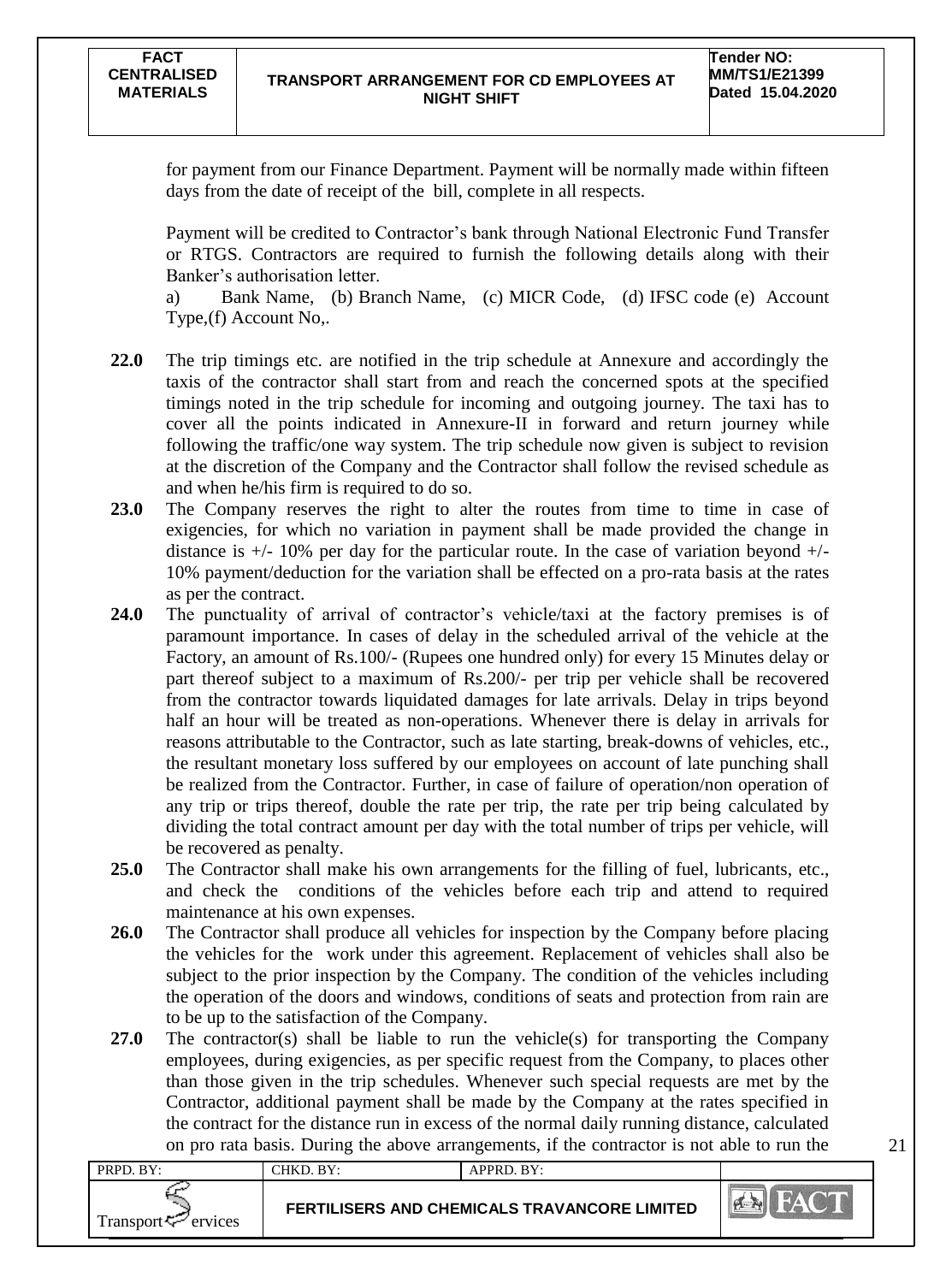for payment from our Finance Department. Payment will be normally made within fifteen days from the date of receipt of the bill, complete in all respects.

Payment will be credited to Contractor"s bank through National Electronic Fund Transfer or RTGS. Contractors are required to furnish the following details along with their Banker"s authorisation letter.

a) Bank Name, (b) Branch Name, (c) MICR Code, (d) IFSC code (e) Account Type,(f) Account No,.

- **22.0** The trip timings etc. are notified in the trip schedule at Annexure and accordingly the taxis of the contractor shall start from and reach the concerned spots at the specified timings noted in the trip schedule for incoming and outgoing journey. The taxi has to cover all the points indicated in Annexure-II in forward and return journey while following the traffic/one way system. The trip schedule now given is subject to revision at the discretion of the Company and the Contractor shall follow the revised schedule as and when he/his firm is required to do so.
- **23.0** The Company reserves the right to alter the routes from time to time in case of exigencies, for which no variation in payment shall be made provided the change in distance is  $+/- 10\%$  per day for the particular route. In the case of variation beyond  $+/-$ 10% payment/deduction for the variation shall be effected on a pro-rata basis at the rates as per the contract.
- **24.0** The punctuality of arrival of contractor's vehicle/taxi at the factory premises is of paramount importance. In cases of delay in the scheduled arrival of the vehicle at the Factory, an amount of Rs.100/- (Rupees one hundred only) for every 15 Minutes delay or part thereof subject to a maximum of Rs.200/- per trip per vehicle shall be recovered from the contractor towards liquidated damages for late arrivals. Delay in trips beyond half an hour will be treated as non-operations. Whenever there is delay in arrivals for reasons attributable to the Contractor, such as late starting, break-downs of vehicles, etc., the resultant monetary loss suffered by our employees on account of late punching shall be realized from the Contractor. Further, in case of failure of operation/non operation of any trip or trips thereof, double the rate per trip, the rate per trip being calculated by dividing the total contract amount per day with the total number of trips per vehicle, will be recovered as penalty.
- **25.0** The Contractor shall make his own arrangements for the filling of fuel, lubricants, etc., and check the conditions of the vehicles before each trip and attend to required maintenance at his own expenses.
- **26.0** The Contractor shall produce all vehicles for inspection by the Company before placing the vehicles for the work under this agreement. Replacement of vehicles shall also be subject to the prior inspection by the Company. The condition of the vehicles including the operation of the doors and windows, conditions of seats and protection from rain are to be up to the satisfaction of the Company.
- **27.0** The contractor(s) shall be liable to run the vehicle(s) for transporting the Company employees, during exigencies, as per specific request from the Company, to places other than those given in the trip schedules. Whenever such special requests are met by the Contractor, additional payment shall be made by the Company at the rates specified in the contract for the distance run in excess of the normal daily running distance, calculated on pro rata basis. During the above arrangements, if the contractor is not able to run the

| PRPD. BY:                      | CHKD. BY:                                    | APPRD. BY: |     |
|--------------------------------|----------------------------------------------|------------|-----|
| Transport $\leftarrow$ ervices | FERTILISERS AND CHEMICALS TRAVANCORE LIMITED |            | PER |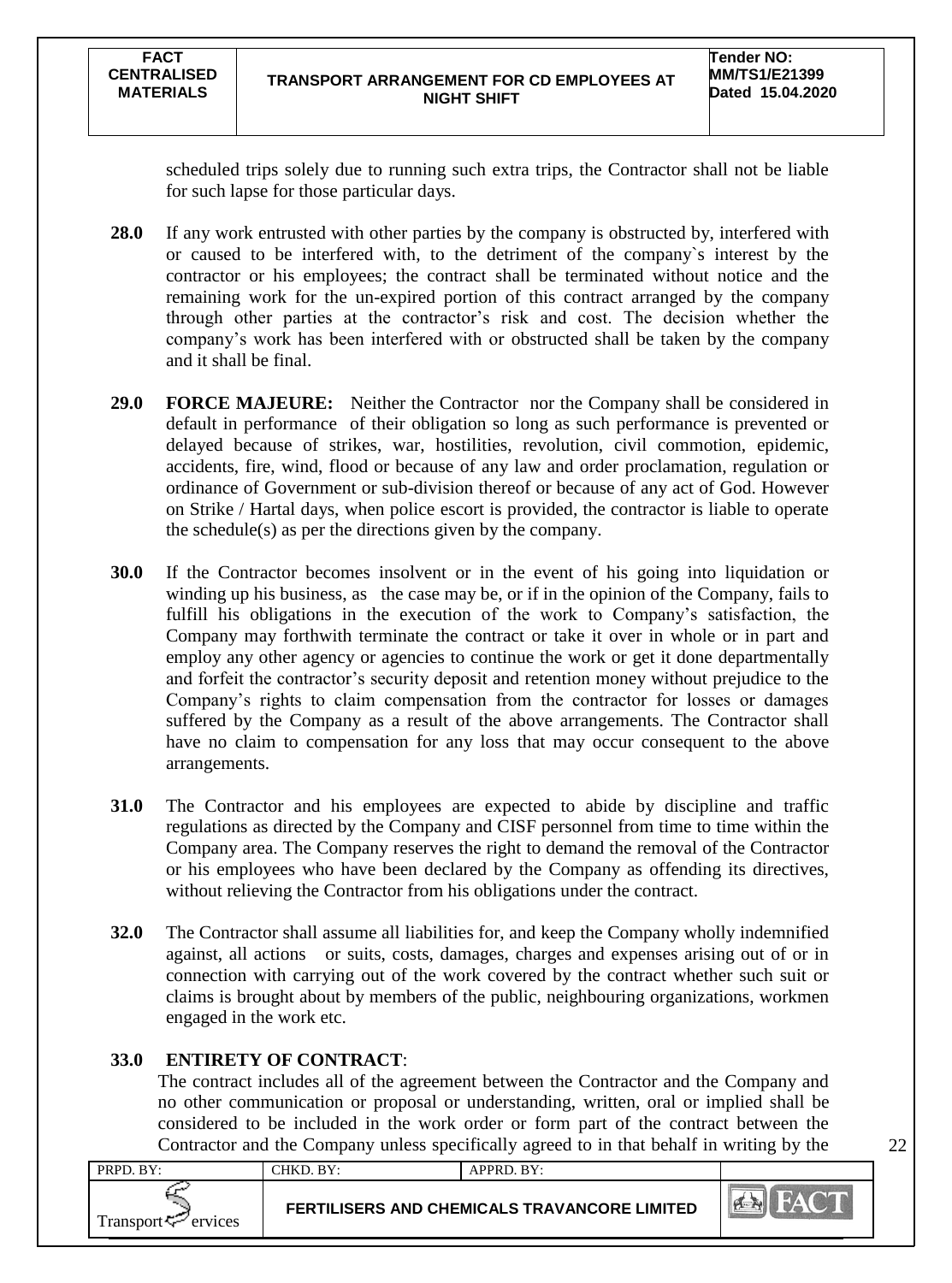scheduled trips solely due to running such extra trips, the Contractor shall not be liable for such lapse for those particular days.

- **28.0** If any work entrusted with other parties by the company is obstructed by, interfered with or caused to be interfered with, to the detriment of the company`s interest by the contractor or his employees; the contract shall be terminated without notice and the remaining work for the un-expired portion of this contract arranged by the company through other parties at the contractor"s risk and cost. The decision whether the company"s work has been interfered with or obstructed shall be taken by the company and it shall be final.
- **29.0 FORCE MAJEURE:** Neither the Contractor nor the Company shall be considered in default in performance of their obligation so long as such performance is prevented or delayed because of strikes, war, hostilities, revolution, civil commotion, epidemic, accidents, fire, wind, flood or because of any law and order proclamation, regulation or ordinance of Government or sub-division thereof or because of any act of God. However on Strike / Hartal days, when police escort is provided, the contractor is liable to operate the schedule(s) as per the directions given by the company.
- **30.0** If the Contractor becomes insolvent or in the event of his going into liquidation or winding up his business, as the case may be, or if in the opinion of the Company, fails to fulfill his obligations in the execution of the work to Company's satisfaction, the Company may forthwith terminate the contract or take it over in whole or in part and employ any other agency or agencies to continue the work or get it done departmentally and forfeit the contractor"s security deposit and retention money without prejudice to the Company"s rights to claim compensation from the contractor for losses or damages suffered by the Company as a result of the above arrangements. The Contractor shall have no claim to compensation for any loss that may occur consequent to the above arrangements.
- **31.0** The Contractor and his employees are expected to abide by discipline and traffic regulations as directed by the Company and CISF personnel from time to time within the Company area. The Company reserves the right to demand the removal of the Contractor or his employees who have been declared by the Company as offending its directives, without relieving the Contractor from his obligations under the contract.
- **32.0** The Contractor shall assume all liabilities for, and keep the Company wholly indemnified against, all actions or suits, costs, damages, charges and expenses arising out of or in connection with carrying out of the work covered by the contract whether such suit or claims is brought about by members of the public, neighbouring organizations, workmen engaged in the work etc.

## **33.0 ENTIRETY OF CONTRACT**:

The contract includes all of the agreement between the Contractor and the Company and no other communication or proposal or understanding, written, oral or implied shall be considered to be included in the work order or form part of the contract between the Contractor and the Company unless specifically agreed to in that behalf in writing by the

| PRPD. BY:                      | CHKD, BY:                                    | APPRD. BY: |               |
|--------------------------------|----------------------------------------------|------------|---------------|
| Transport <sup>7</sup> ervices | FERTILISERS AND CHEMICALS TRAVANCORE LIMITED |            | <b>PASSER</b> |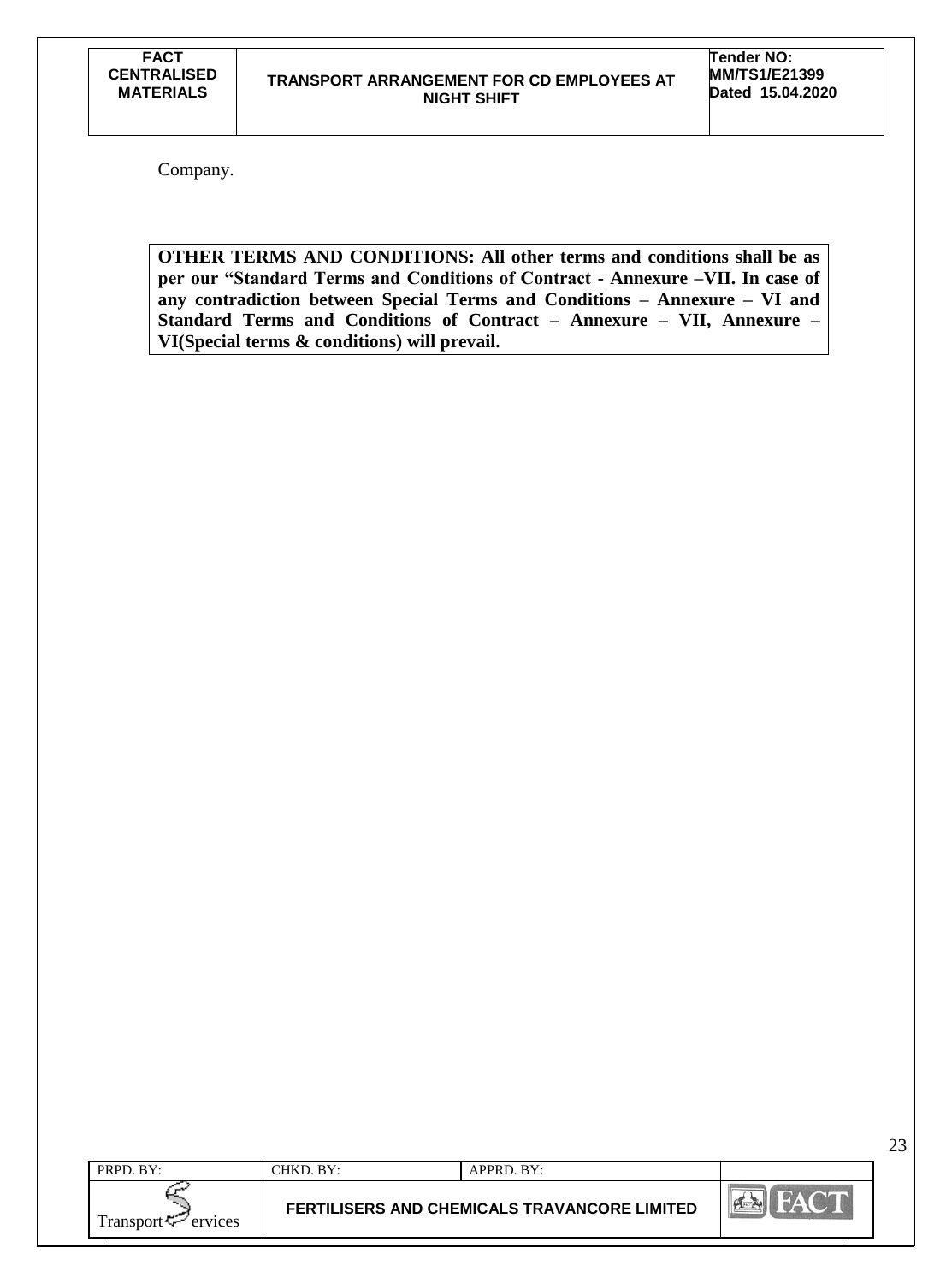Company.

**OTHER TERMS AND CONDITIONS: All other terms and conditions shall be as per our "Standard Terms and Conditions of Contract - Annexure –VII. In case of any contradiction between Special Terms and Conditions – Annexure – VI and Standard Terms and Conditions of Contract – Annexure – VII, Annexure – VI(Special terms & conditions) will prevail.**

| PRPD. BY:            | CHKD. BY: | APPRD. BY:                                          |                  |
|----------------------|-----------|-----------------------------------------------------|------------------|
| Transport<br>ervices |           | <b>FERTILISERS AND CHEMICALS TRAVANCORE LIMITED</b> | <b>PLACE AND</b> |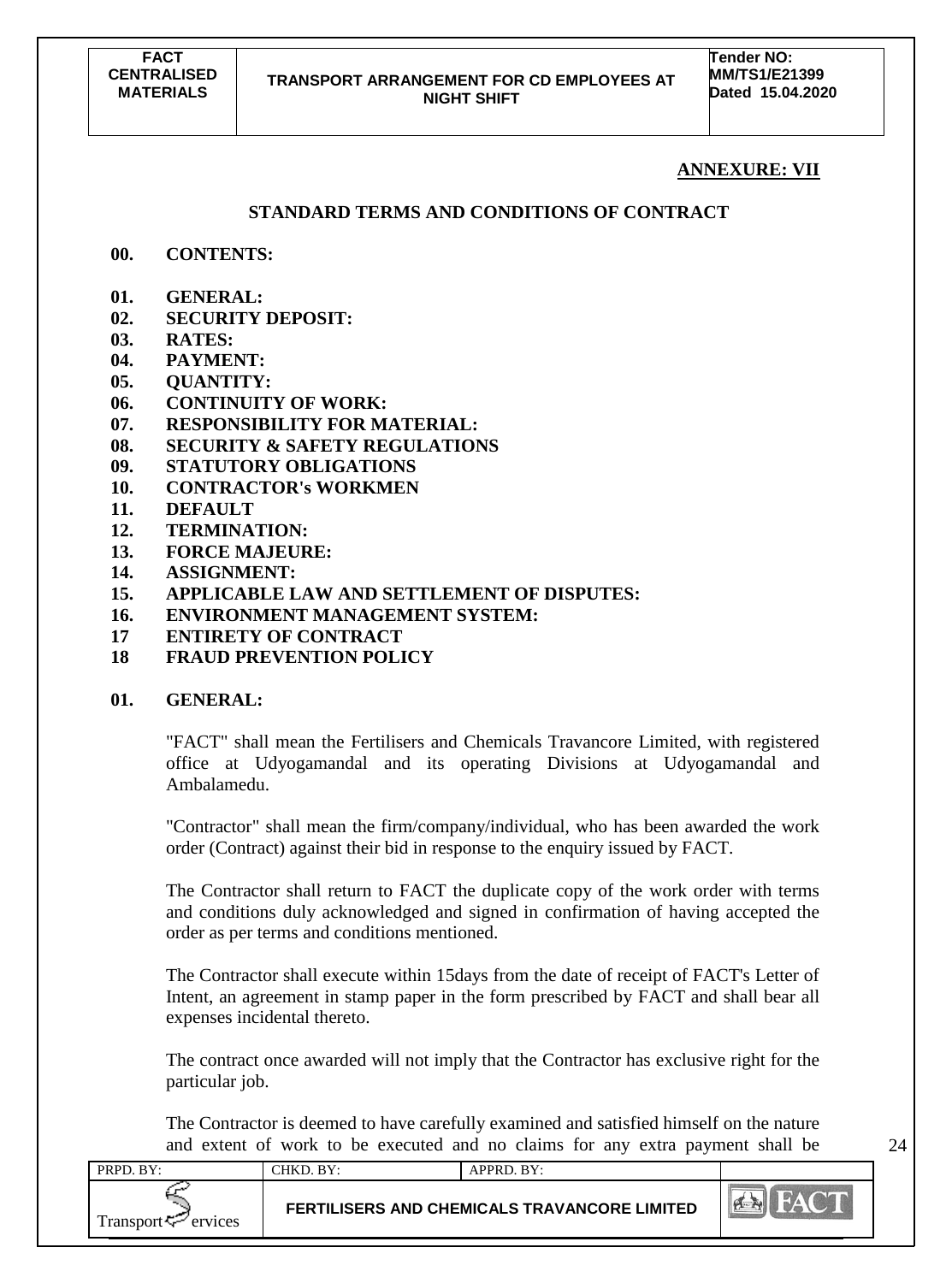**Tender NO: MM/TS1/E21399 Dated 15.04.2020**

## **ANNEXURE: VII**

## **STANDARD TERMS AND CONDITIONS OF CONTRACT**

- **00. CONTENTS:**
- **01. GENERAL:**
- **02. SECURITY DEPOSIT:**
- **03. RATES:**
- **04. PAYMENT:**
- **05. QUANTITY:**
- **06. CONTINUITY OF WORK:**
- **07. RESPONSIBILITY FOR MATERIAL:**
- **08. SECURITY & SAFETY REGULATIONS**
- **09. STATUTORY OBLIGATIONS**
- **10. CONTRACTOR's WORKMEN**
- **11. DEFAULT**
- **12. TERMINATION:**
- **13. FORCE MAJEURE:**
- **14. ASSIGNMENT:**
- **15. APPLICABLE LAW AND SETTLEMENT OF DISPUTES:**
- **16. ENVIRONMENT MANAGEMENT SYSTEM:**
- **17 ENTIRETY OF CONTRACT**
- **18 FRAUD PREVENTION POLICY**

## **01. GENERAL:**

"FACT" shall mean the Fertilisers and Chemicals Travancore Limited, with registered office at Udyogamandal and its operating Divisions at Udyogamandal and Ambalamedu.

"Contractor" shall mean the firm/company/individual, who has been awarded the work order (Contract) against their bid in response to the enquiry issued by FACT.

The Contractor shall return to FACT the duplicate copy of the work order with terms and conditions duly acknowledged and signed in confirmation of having accepted the order as per terms and conditions mentioned.

The Contractor shall execute within 15days from the date of receipt of FACT's Letter of Intent, an agreement in stamp paper in the form prescribed by FACT and shall bear all expenses incidental thereto.

The contract once awarded will not imply that the Contractor has exclusive right for the particular job.

The Contractor is deemed to have carefully examined and satisfied himself on the nature and extent of work to be executed and no claims for any extra payment shall be

| PRPD. BY:                      | CHKD. BY: | APPRD. BY:                                   |            |
|--------------------------------|-----------|----------------------------------------------|------------|
| Transport <sup>7</sup> ervices |           | FERTILISERS AND CHEMICALS TRAVANCORE LIMITED | <b>PER</b> |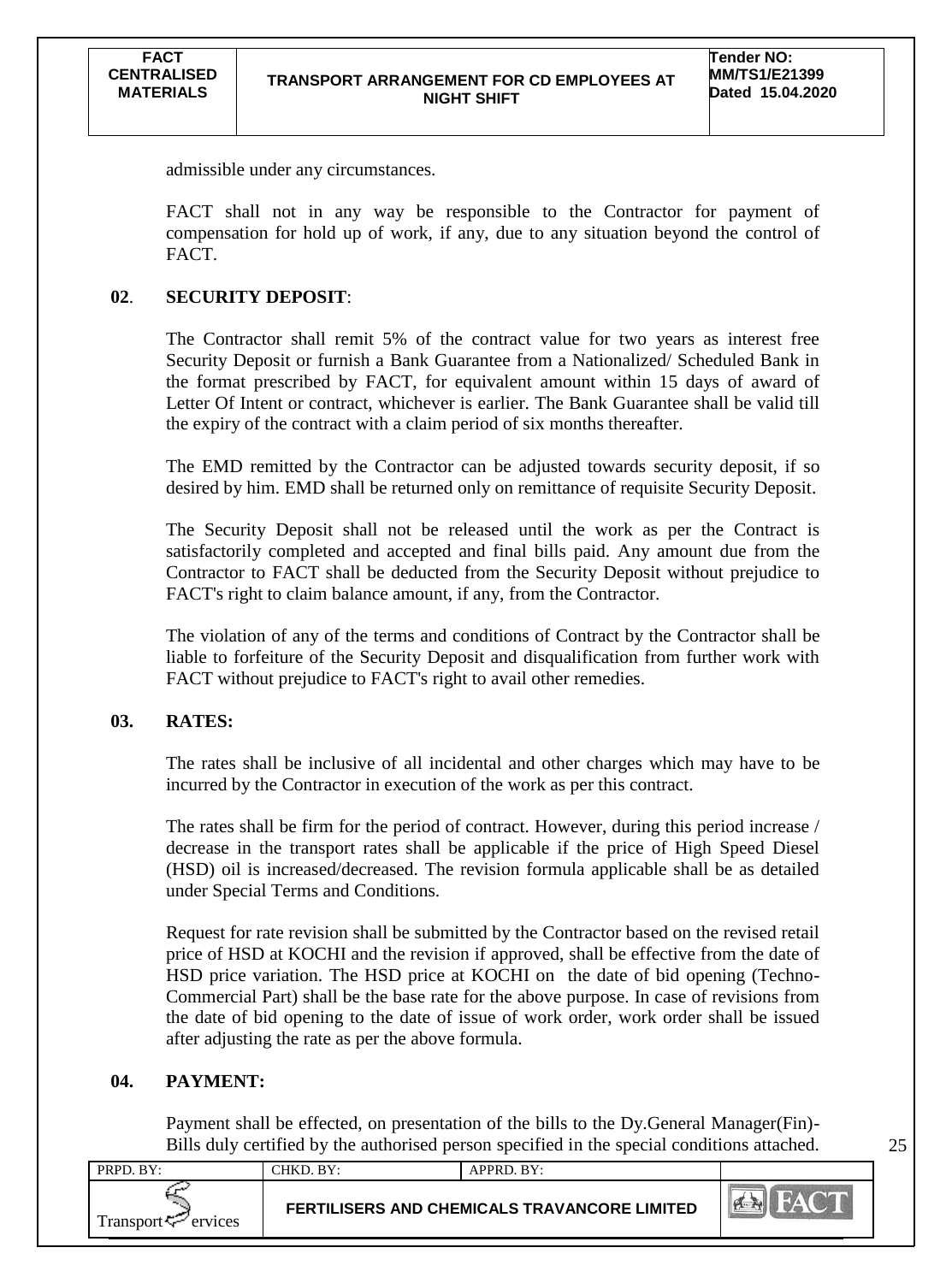admissible under any circumstances.

FACT shall not in any way be responsible to the Contractor for payment of compensation for hold up of work, if any, due to any situation beyond the control of FACT.

#### **02**. **SECURITY DEPOSIT**:

The Contractor shall remit 5% of the contract value for two years as interest free Security Deposit or furnish a Bank Guarantee from a Nationalized/ Scheduled Bank in the format prescribed by FACT, for equivalent amount within 15 days of award of Letter Of Intent or contract, whichever is earlier. The Bank Guarantee shall be valid till the expiry of the contract with a claim period of six months thereafter.

The EMD remitted by the Contractor can be adjusted towards security deposit, if so desired by him. EMD shall be returned only on remittance of requisite Security Deposit.

The Security Deposit shall not be released until the work as per the Contract is satisfactorily completed and accepted and final bills paid. Any amount due from the Contractor to FACT shall be deducted from the Security Deposit without prejudice to FACT's right to claim balance amount, if any, from the Contractor.

The violation of any of the terms and conditions of Contract by the Contractor shall be liable to forfeiture of the Security Deposit and disqualification from further work with FACT without prejudice to FACT's right to avail other remedies.

### **03. RATES:**

The rates shall be inclusive of all incidental and other charges which may have to be incurred by the Contractor in execution of the work as per this contract.

The rates shall be firm for the period of contract. However, during this period increase / decrease in the transport rates shall be applicable if the price of High Speed Diesel (HSD) oil is increased/decreased. The revision formula applicable shall be as detailed under Special Terms and Conditions.

Request for rate revision shall be submitted by the Contractor based on the revised retail price of HSD at KOCHI and the revision if approved, shall be effective from the date of HSD price variation. The HSD price at KOCHI on the date of bid opening (Techno-Commercial Part) shall be the base rate for the above purpose. In case of revisions from the date of bid opening to the date of issue of work order, work order shall be issued after adjusting the rate as per the above formula.

#### **04. PAYMENT:**

Payment shall be effected, on presentation of the bills to the Dy.General Manager(Fin)- Bills duly certified by the authorised person specified in the special conditions attached.

| PRPD. BY:                | CHKD. BY: | APPRD. BY:                                          |  |
|--------------------------|-----------|-----------------------------------------------------|--|
| Transport $\leq$ ervices |           | <b>FERTILISERS AND CHEMICALS TRAVANCORE LIMITED</b> |  |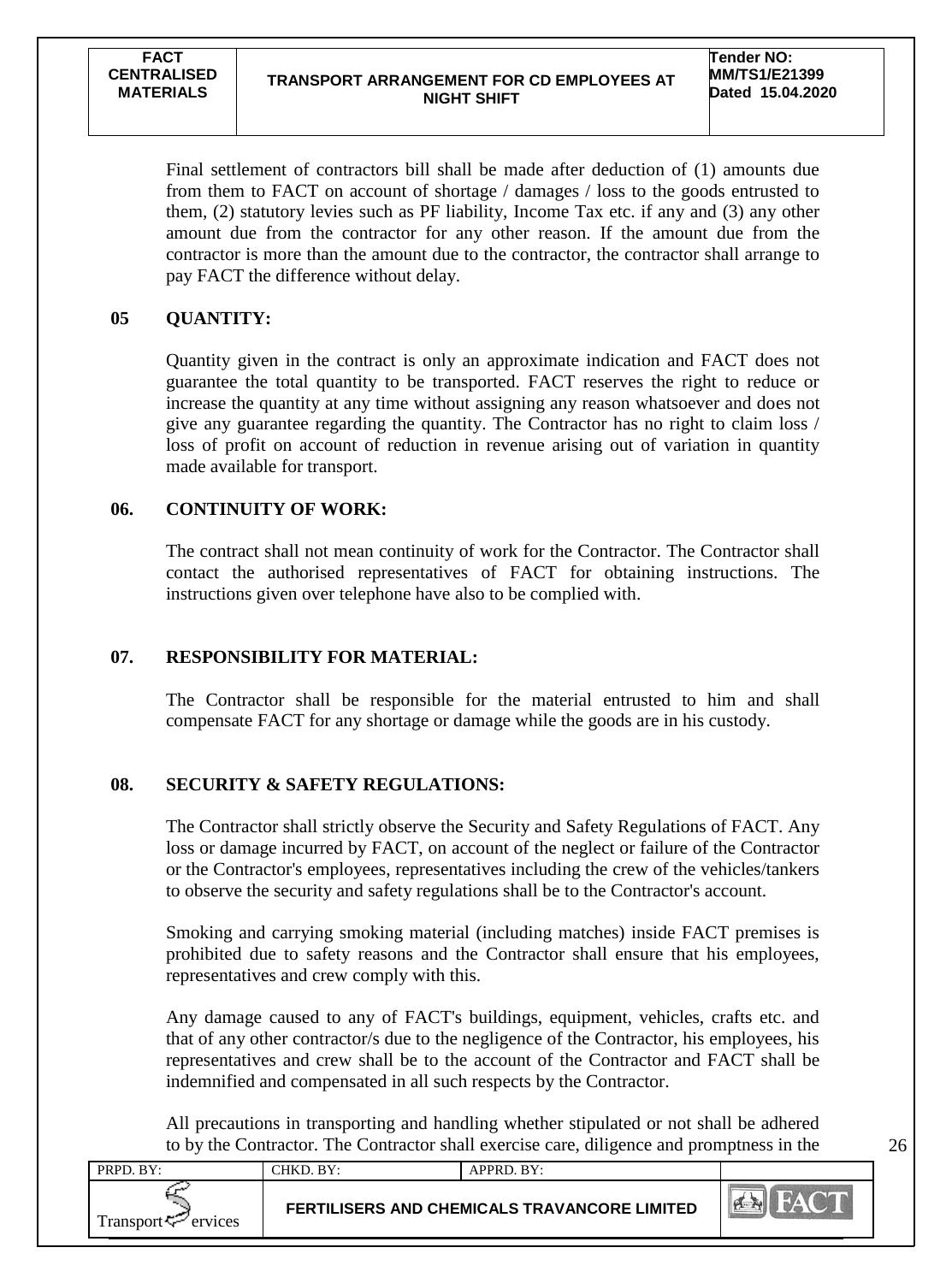#### **TRANSPORT ARRANGEMENT FOR CD EMPLOYEES AT NIGHT SHIFT**

Final settlement of contractors bill shall be made after deduction of (1) amounts due from them to FACT on account of shortage / damages / loss to the goods entrusted to them, (2) statutory levies such as PF liability, Income Tax etc. if any and (3) any other amount due from the contractor for any other reason. If the amount due from the contractor is more than the amount due to the contractor, the contractor shall arrange to pay FACT the difference without delay.

## **05 QUANTITY:**

Quantity given in the contract is only an approximate indication and FACT does not guarantee the total quantity to be transported. FACT reserves the right to reduce or increase the quantity at any time without assigning any reason whatsoever and does not give any guarantee regarding the quantity. The Contractor has no right to claim loss / loss of profit on account of reduction in revenue arising out of variation in quantity made available for transport.

## **06. CONTINUITY OF WORK:**

The contract shall not mean continuity of work for the Contractor. The Contractor shall contact the authorised representatives of FACT for obtaining instructions. The instructions given over telephone have also to be complied with.

## **07. RESPONSIBILITY FOR MATERIAL:**

The Contractor shall be responsible for the material entrusted to him and shall compensate FACT for any shortage or damage while the goods are in his custody.

## **08. SECURITY & SAFETY REGULATIONS:**

The Contractor shall strictly observe the Security and Safety Regulations of FACT. Any loss or damage incurred by FACT, on account of the neglect or failure of the Contractor or the Contractor's employees, representatives including the crew of the vehicles/tankers to observe the security and safety regulations shall be to the Contractor's account.

Smoking and carrying smoking material (including matches) inside FACT premises is prohibited due to safety reasons and the Contractor shall ensure that his employees, representatives and crew comply with this.

Any damage caused to any of FACT's buildings, equipment, vehicles, crafts etc. and that of any other contractor/s due to the negligence of the Contractor, his employees, his representatives and crew shall be to the account of the Contractor and FACT shall be indemnified and compensated in all such respects by the Contractor.

All precautions in transporting and handling whether stipulated or not shall be adhered to by the Contractor. The Contractor shall exercise care, diligence and promptness in the

| PRPD. BY:                      | CHKD. BY: | $APPRD$ . $BY:$                              |  |
|--------------------------------|-----------|----------------------------------------------|--|
| Transport <sup>7</sup> ervices |           | FERTILISERS AND CHEMICALS TRAVANCORE LIMITED |  |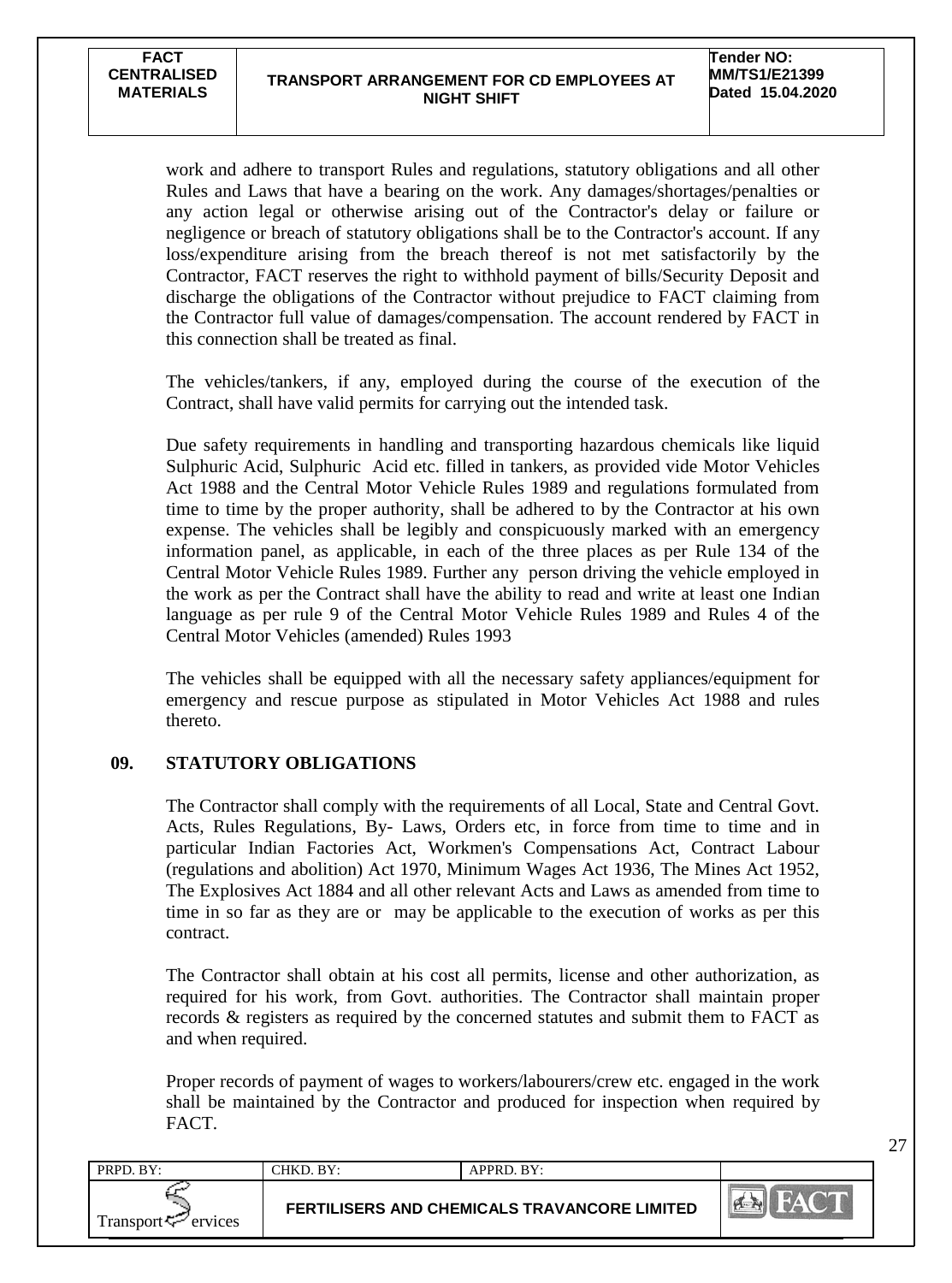27

work and adhere to transport Rules and regulations, statutory obligations and all other Rules and Laws that have a bearing on the work. Any damages/shortages/penalties or any action legal or otherwise arising out of the Contractor's delay or failure or negligence or breach of statutory obligations shall be to the Contractor's account. If any loss/expenditure arising from the breach thereof is not met satisfactorily by the Contractor, FACT reserves the right to withhold payment of bills/Security Deposit and discharge the obligations of the Contractor without prejudice to FACT claiming from the Contractor full value of damages/compensation. The account rendered by FACT in this connection shall be treated as final.

The vehicles/tankers, if any, employed during the course of the execution of the Contract, shall have valid permits for carrying out the intended task.

Due safety requirements in handling and transporting hazardous chemicals like liquid Sulphuric Acid, Sulphuric Acid etc. filled in tankers, as provided vide Motor Vehicles Act 1988 and the Central Motor Vehicle Rules 1989 and regulations formulated from time to time by the proper authority, shall be adhered to by the Contractor at his own expense. The vehicles shall be legibly and conspicuously marked with an emergency information panel, as applicable, in each of the three places as per Rule 134 of the Central Motor Vehicle Rules 1989. Further any person driving the vehicle employed in the work as per the Contract shall have the ability to read and write at least one Indian language as per rule 9 of the Central Motor Vehicle Rules 1989 and Rules 4 of the Central Motor Vehicles (amended) Rules 1993

The vehicles shall be equipped with all the necessary safety appliances/equipment for emergency and rescue purpose as stipulated in Motor Vehicles Act 1988 and rules thereto.

### **09. STATUTORY OBLIGATIONS**

The Contractor shall comply with the requirements of all Local, State and Central Govt. Acts, Rules Regulations, By- Laws, Orders etc, in force from time to time and in particular Indian Factories Act, Workmen's Compensations Act, Contract Labour (regulations and abolition) Act 1970, Minimum Wages Act 1936, The Mines Act 1952, The Explosives Act 1884 and all other relevant Acts and Laws as amended from time to time in so far as they are or may be applicable to the execution of works as per this contract.

The Contractor shall obtain at his cost all permits, license and other authorization, as required for his work, from Govt. authorities. The Contractor shall maintain proper records & registers as required by the concerned statutes and submit them to FACT as and when required.

Proper records of payment of wages to workers/labourers/crew etc. engaged in the work shall be maintained by the Contractor and produced for inspection when required by FACT.

| PRPD. BY:                      | CHKD. BY: | $APPRD$ . $BY:$                                     |                  |
|--------------------------------|-----------|-----------------------------------------------------|------------------|
| Transport <sup>7</sup> ervices |           | <b>FERTILISERS AND CHEMICALS TRAVANCORE LIMITED</b> | $\sum_{i=1}^{n}$ |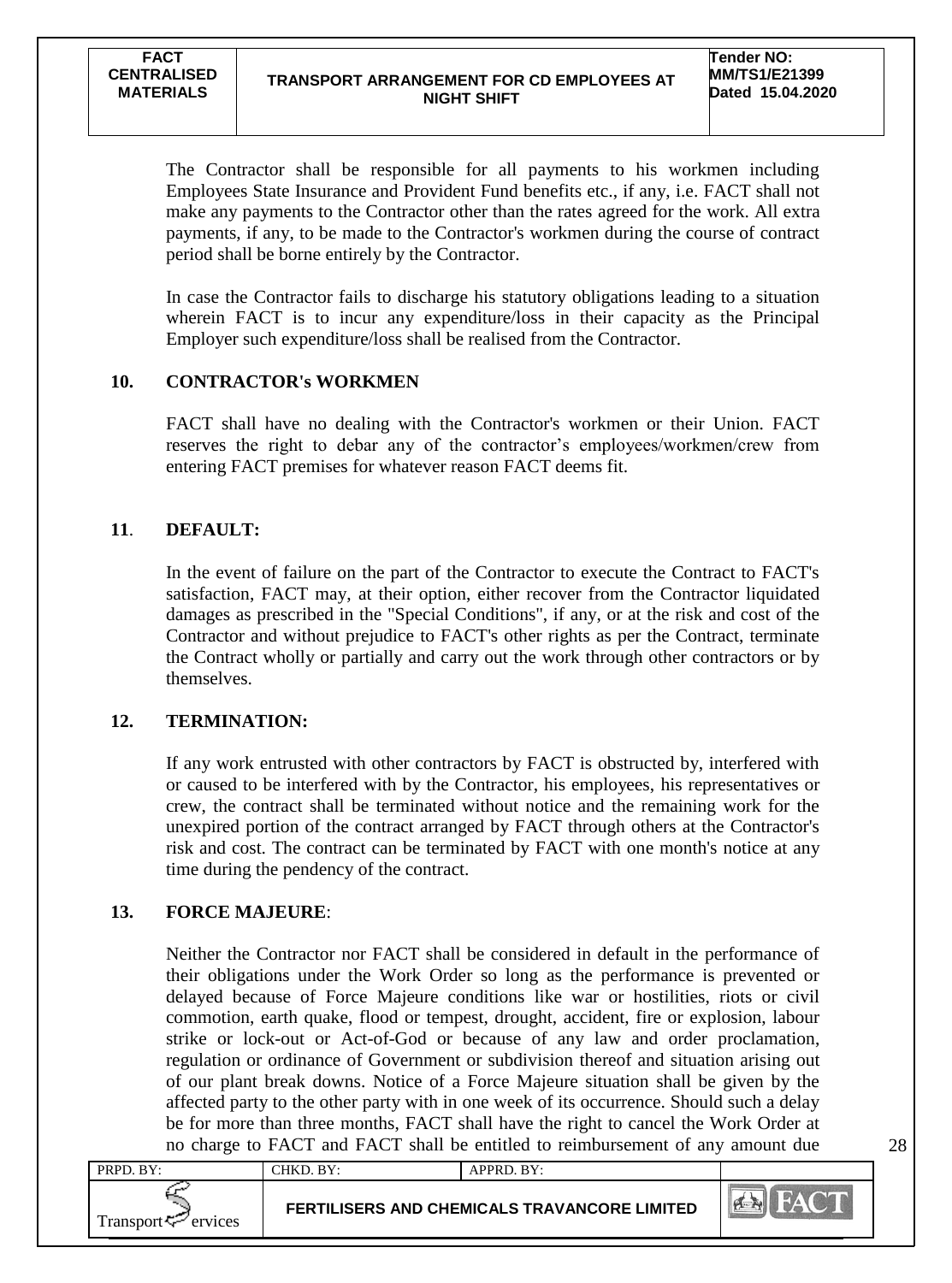The Contractor shall be responsible for all payments to his workmen including Employees State Insurance and Provident Fund benefits etc., if any, i.e. FACT shall not make any payments to the Contractor other than the rates agreed for the work. All extra payments, if any, to be made to the Contractor's workmen during the course of contract period shall be borne entirely by the Contractor.

In case the Contractor fails to discharge his statutory obligations leading to a situation wherein FACT is to incur any expenditure/loss in their capacity as the Principal Employer such expenditure/loss shall be realised from the Contractor.

## **10. CONTRACTOR's WORKMEN**

FACT shall have no dealing with the Contractor's workmen or their Union. FACT reserves the right to debar any of the contractor's employees/workmen/crew from entering FACT premises for whatever reason FACT deems fit.

## **11**. **DEFAULT:**

In the event of failure on the part of the Contractor to execute the Contract to FACT's satisfaction, FACT may, at their option, either recover from the Contractor liquidated damages as prescribed in the "Special Conditions", if any, or at the risk and cost of the Contractor and without prejudice to FACT's other rights as per the Contract, terminate the Contract wholly or partially and carry out the work through other contractors or by themselves.

## **12. TERMINATION:**

If any work entrusted with other contractors by FACT is obstructed by, interfered with or caused to be interfered with by the Contractor, his employees, his representatives or crew, the contract shall be terminated without notice and the remaining work for the unexpired portion of the contract arranged by FACT through others at the Contractor's risk and cost. The contract can be terminated by FACT with one month's notice at any time during the pendency of the contract.

## **13. FORCE MAJEURE**:

Neither the Contractor nor FACT shall be considered in default in the performance of their obligations under the Work Order so long as the performance is prevented or delayed because of Force Majeure conditions like war or hostilities, riots or civil commotion, earth quake, flood or tempest, drought, accident, fire or explosion, labour strike or lock-out or Act-of-God or because of any law and order proclamation, regulation or ordinance of Government or subdivision thereof and situation arising out of our plant break downs. Notice of a Force Majeure situation shall be given by the affected party to the other party with in one week of its occurrence. Should such a delay be for more than three months, FACT shall have the right to cancel the Work Order at no charge to FACT and FACT shall be entitled to reimbursement of any amount due

| PRPD. BY:                      | CHKD. BY: | APPRD. BY:                                          |              |
|--------------------------------|-----------|-----------------------------------------------------|--------------|
| Transport <sup>7</sup> ervices |           | <b>FERTILISERS AND CHEMICALS TRAVANCORE LIMITED</b> | <b>PASSE</b> |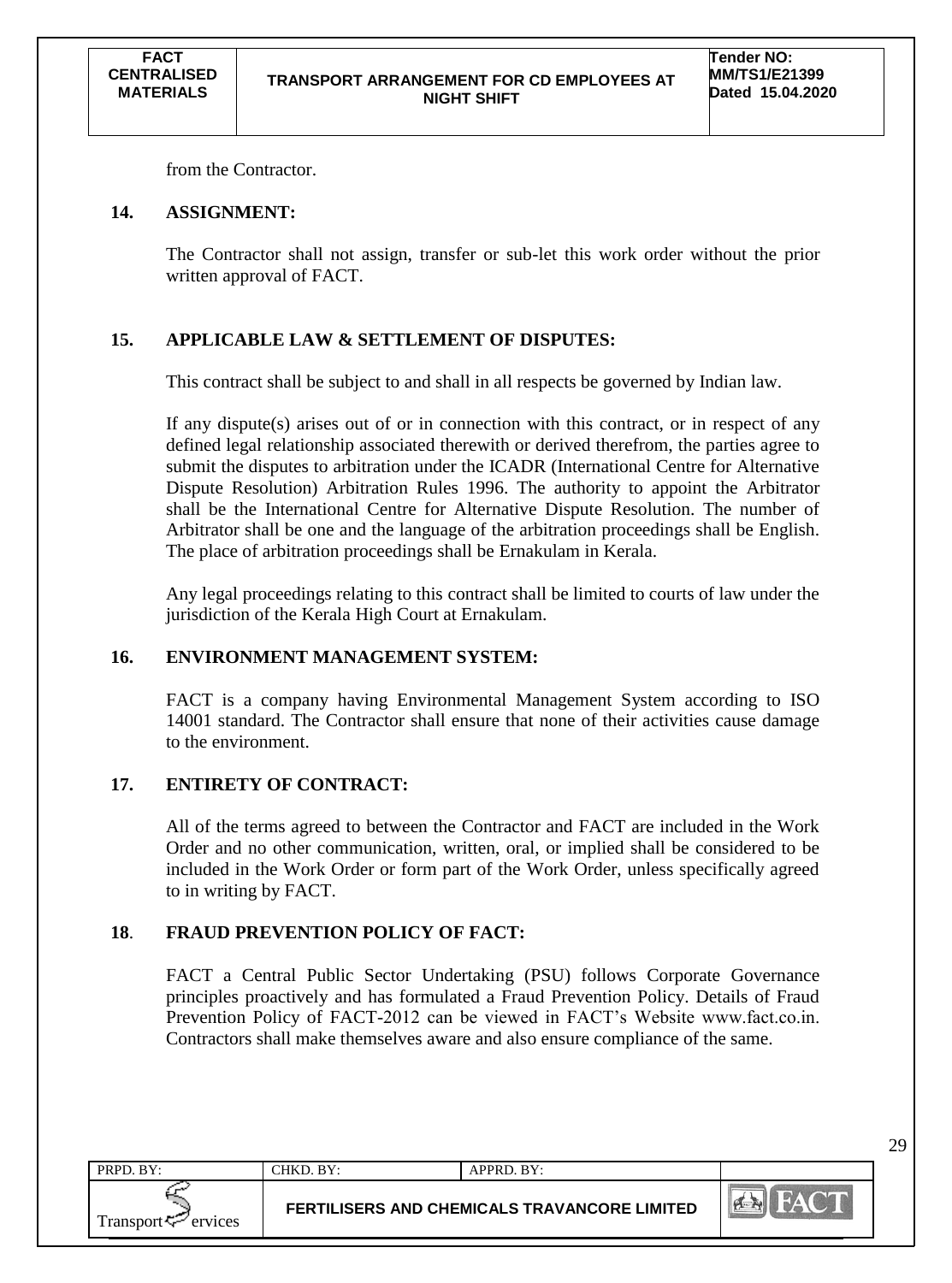from the Contractor.

## **14. ASSIGNMENT:**

The Contractor shall not assign, transfer or sub-let this work order without the prior written approval of FACT.

## **15. APPLICABLE LAW & SETTLEMENT OF DISPUTES:**

This contract shall be subject to and shall in all respects be governed by Indian law.

If any dispute(s) arises out of or in connection with this contract, or in respect of any defined legal relationship associated therewith or derived therefrom, the parties agree to submit the disputes to arbitration under the ICADR (International Centre for Alternative Dispute Resolution) Arbitration Rules 1996. The authority to appoint the Arbitrator shall be the International Centre for Alternative Dispute Resolution. The number of Arbitrator shall be one and the language of the arbitration proceedings shall be English. The place of arbitration proceedings shall be Ernakulam in Kerala.

Any legal proceedings relating to this contract shall be limited to courts of law under the jurisdiction of the Kerala High Court at Ernakulam.

## **16. ENVIRONMENT MANAGEMENT SYSTEM:**

FACT is a company having Environmental Management System according to ISO 14001 standard. The Contractor shall ensure that none of their activities cause damage to the environment.

## **17. ENTIRETY OF CONTRACT:**

All of the terms agreed to between the Contractor and FACT are included in the Work Order and no other communication, written, oral, or implied shall be considered to be included in the Work Order or form part of the Work Order, unless specifically agreed to in writing by FACT.

## **18**. **FRAUD PREVENTION POLICY OF FACT:**

FACT a Central Public Sector Undertaking (PSU) follows Corporate Governance principles proactively and has formulated a Fraud Prevention Policy. Details of Fraud Prevention Policy of FACT-2012 can be viewed in FACT"s Website www.fact.co.in. Contractors shall make themselves aware and also ensure compliance of the same.

| PRPD. BY:                | CHKD. BY: | $APPRD$ . $BY:$                              |        |
|--------------------------|-----------|----------------------------------------------|--------|
| Transport $\sim$ ervices |           | FERTILISERS AND CHEMICALS TRAVANCORE LIMITED | $\sim$ |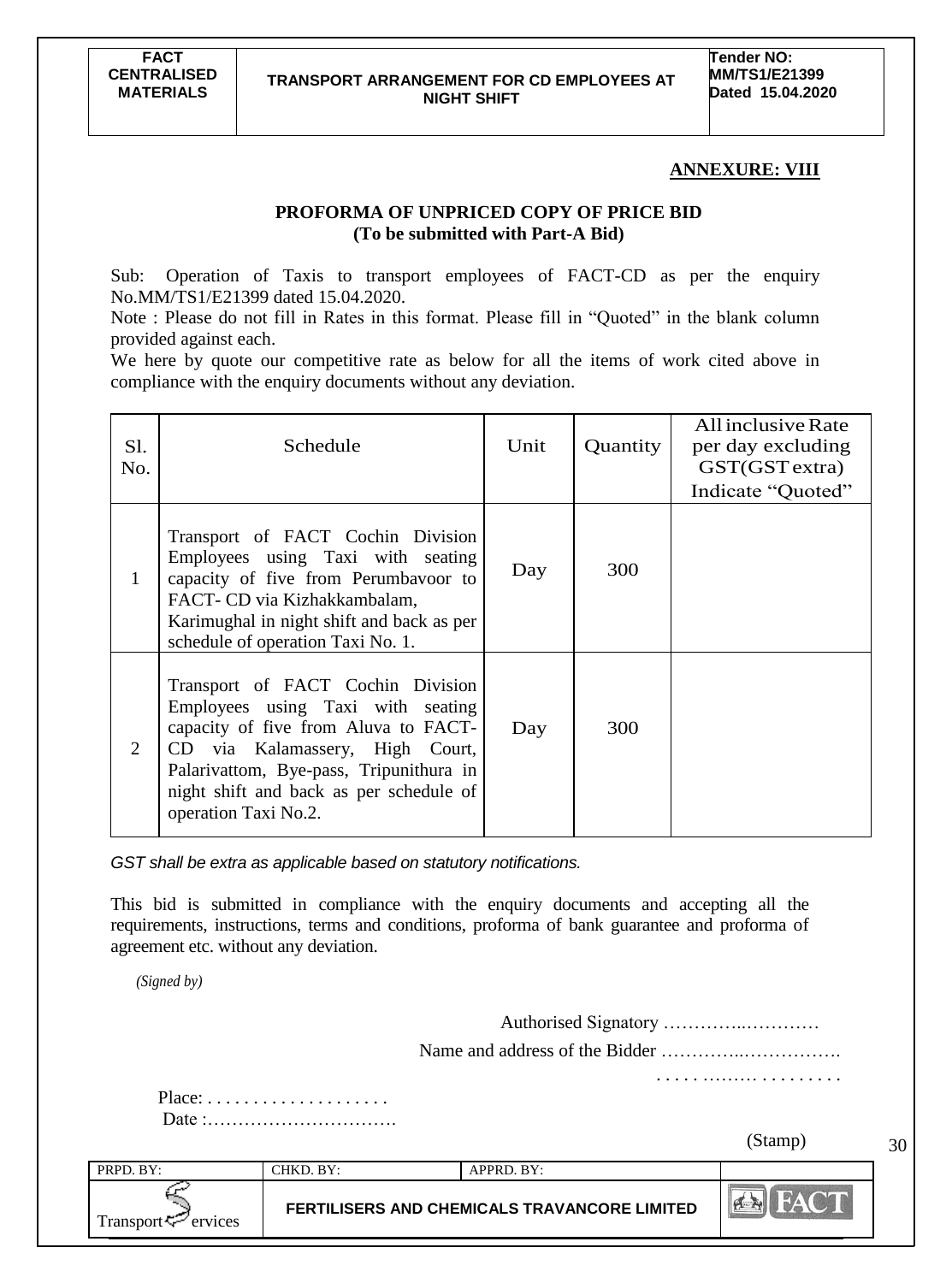#### **ANNEXURE: VIII**

## **PROFORMA OF UNPRICED COPY OF PRICE BID (To be submitted with Part-A Bid)**

Sub: Operation of Taxis to transport employees of FACT-CD as per the enquiry No.MM/TS1/E21399 dated 15.04.2020.

Note : Please do not fill in Rates in this format. Please fill in "Quoted" in the blank column provided against each.

We here by quote our competitive rate as below for all the items of work cited above in compliance with the enquiry documents without any deviation.

| S1.<br>No.   | Schedule                                                                                                                                                                                                                                                        | Unit | Quantity | All inclusive Rate<br>per day excluding<br>GST(GST extra)<br>Indicate "Quoted" |
|--------------|-----------------------------------------------------------------------------------------------------------------------------------------------------------------------------------------------------------------------------------------------------------------|------|----------|--------------------------------------------------------------------------------|
| $\mathbf{1}$ | Transport of FACT Cochin Division<br>Employees using Taxi with seating<br>capacity of five from Perumbayoor to<br>FACT- CD via Kizhakkambalam,<br>Karimughal in night shift and back as per<br>schedule of operation Taxi No. 1.                                | Day  | 300      |                                                                                |
| 2            | Transport of FACT Cochin Division<br>Employees using Taxi with seating<br>capacity of five from Aluva to FACT-<br>CD via Kalamassery, High Court,<br>Palarivattom, Bye-pass, Tripunithura in<br>night shift and back as per schedule of<br>operation Taxi No.2. | Day  | 300      |                                                                                |

*GST shall be extra as applicable based on statutory notifications.*

This bid is submitted in compliance with the enquiry documents and accepting all the requirements, instructions, terms and conditions, proforma of bank guarantee and proforma of agreement etc. without any deviation.

*(Signed by)*

Authorised Signatory …………..………… Name and address of the Bidder …………..……………. . . . . . ……… . . . . . . . . . Place: . . . . . . . . . . . . . . . . . . . . Date :…………………………. (Stamp)30 PRPD. BY: CHKD. BY: APPRD. BY:  $\leq$ **FERTILISERS AND CHEMICALS TRAVANCORE LIMITED** Transport  $\leq$  ervices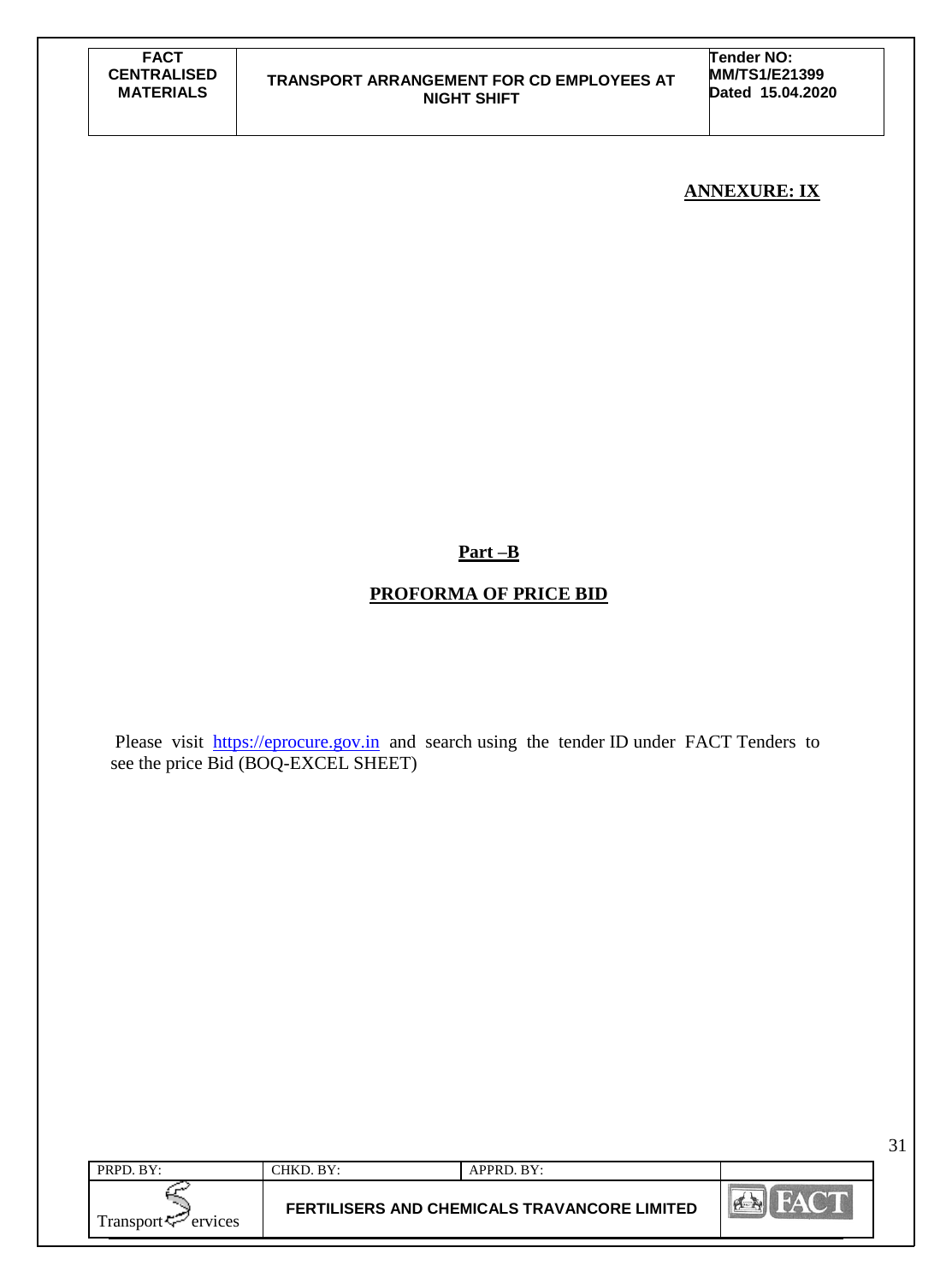**Tender NO: MM/TS1/E21399 Dated 15.04.2020**

## **ANNEXURE: IX**

## **Part –B**

## **PROFORMA OF PRICE BID**

Please visit [https://eprocure.gov.in](https://eprocure.gov.in/) and search using the tender ID under FACT Tenders to see the price Bid (BOQ-EXCEL SHEET)

| Fransport <<br>ervices |           | <b>FERTILISERS AND CHEMICALS TRAVANCORE LIMITED</b> |  |
|------------------------|-----------|-----------------------------------------------------|--|
| PRPD. BY:              | CHKD. BY: | $APPRD$ . $BY:$                                     |  |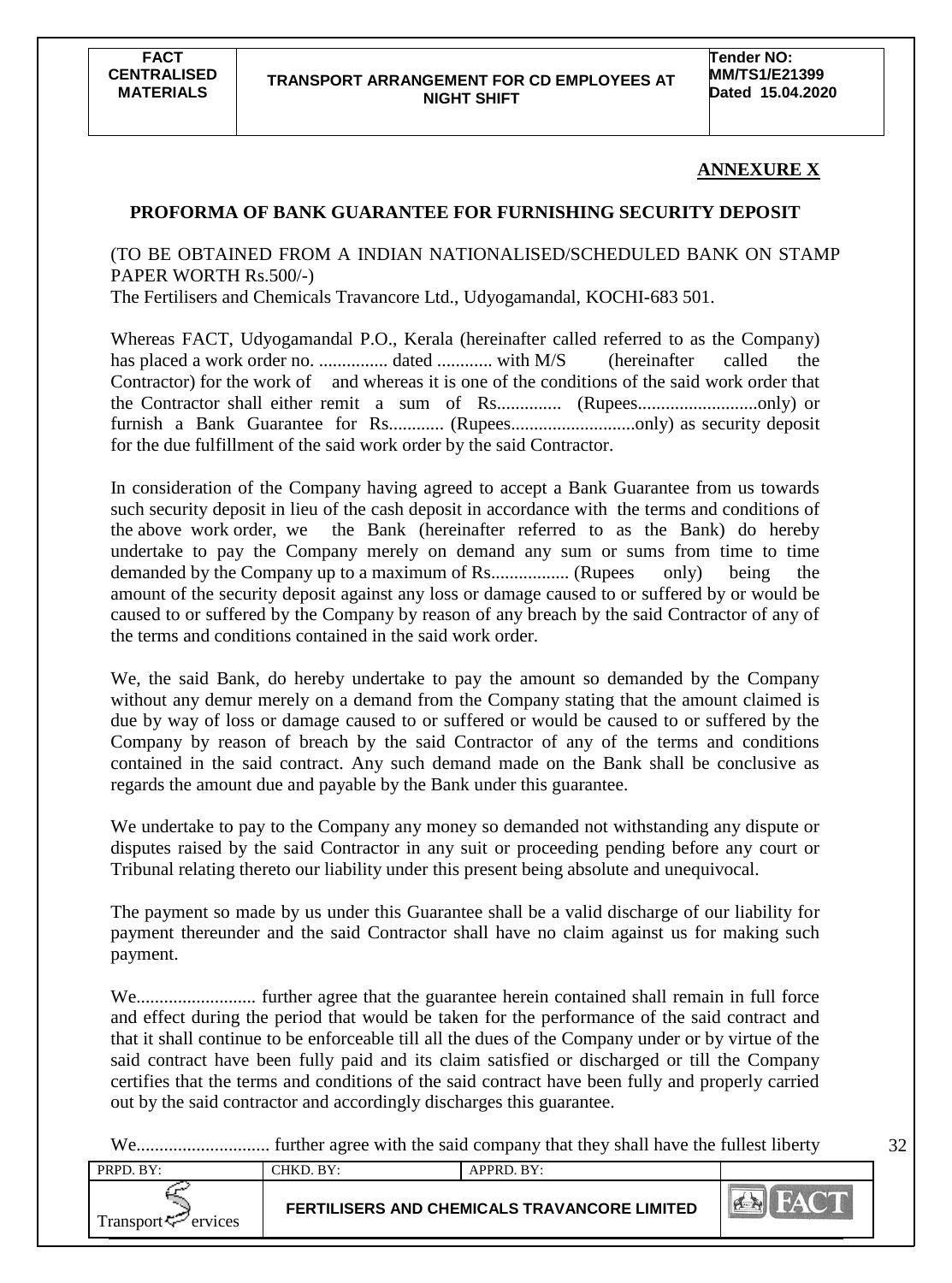### **ANNEXURE X**

32

## **PROFORMA OF BANK GUARANTEE FOR FURNISHING SECURITY DEPOSIT**

(TO BE OBTAINED FROM A INDIAN NATIONALISED/SCHEDULED BANK ON STAMP PAPER WORTH Rs.500/-)

The Fertilisers and Chemicals Travancore Ltd., Udyogamandal, KOCHI-683 501.

Whereas FACT, Udyogamandal P.O., Kerala (hereinafter called referred to as the Company) has placed a work order no. ............... dated ............ with M/S (hereinafter called the Contractor) for the work of and whereas it is one of the conditions of the said work order that the Contractor shall either remit a sum of Rs.............. (Rupees..........................only) or furnish a Bank Guarantee for Rs............ (Rupees...........................only) as security deposit for the due fulfillment of the said work order by the said Contractor.

In consideration of the Company having agreed to accept a Bank Guarantee from us towards such security deposit in lieu of the cash deposit in accordance with the terms and conditions of the above work order, we the Bank (hereinafter referred to as the Bank) do hereby undertake to pay the Company merely on demand any sum or sums from time to time demanded by the Company up to a maximum of Rs................. (Rupees only) being the amount of the security deposit against any loss or damage caused to or suffered by or would be caused to or suffered by the Company by reason of any breach by the said Contractor of any of the terms and conditions contained in the said work order.

We, the said Bank, do hereby undertake to pay the amount so demanded by the Company without any demur merely on a demand from the Company stating that the amount claimed is due by way of loss or damage caused to or suffered or would be caused to or suffered by the Company by reason of breach by the said Contractor of any of the terms and conditions contained in the said contract. Any such demand made on the Bank shall be conclusive as regards the amount due and payable by the Bank under this guarantee.

We undertake to pay to the Company any money so demanded not withstanding any dispute or disputes raised by the said Contractor in any suit or proceeding pending before any court or Tribunal relating thereto our liability under this present being absolute and unequivocal.

The payment so made by us under this Guarantee shall be a valid discharge of our liability for payment thereunder and the said Contractor shall have no claim against us for making such payment.

We.......................... further agree that the guarantee herein contained shall remain in full force and effect during the period that would be taken for the performance of the said contract and that it shall continue to be enforceable till all the dues of the Company under or by virtue of the said contract have been fully paid and its claim satisfied or discharged or till the Company certifies that the terms and conditions of the said contract have been fully and properly carried out by the said contractor and accordingly discharges this guarantee.

We............................. further agree with the said company that they shall have the fullest liberty

| PRPD. BY:                      | -<br>CHKD. BY: | APPRD. BY:                                          |  |
|--------------------------------|----------------|-----------------------------------------------------|--|
| Transport $\leftarrow$ ervices |                | <b>FERTILISERS AND CHEMICALS TRAVANCORE LIMITED</b> |  |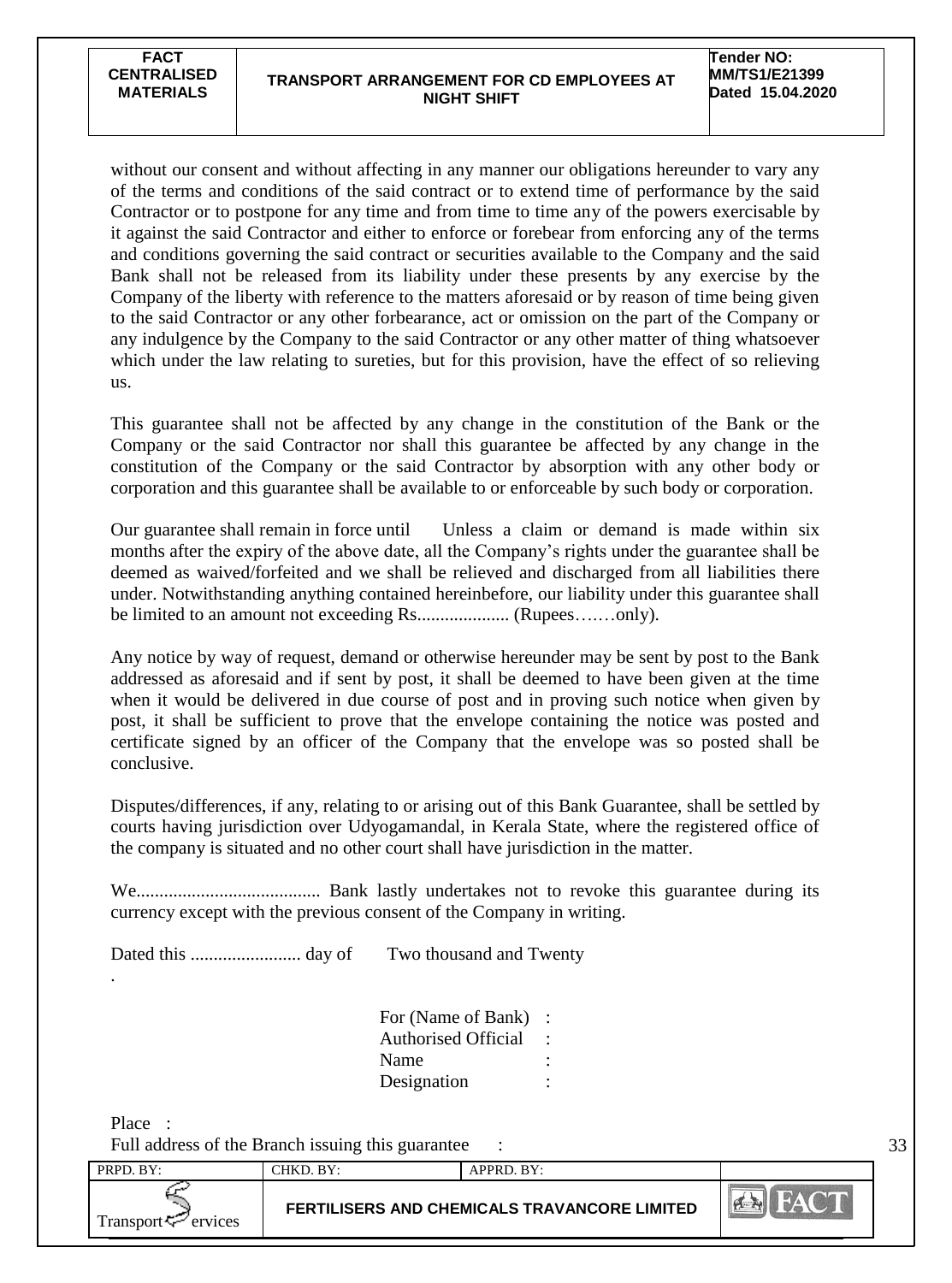without our consent and without affecting in any manner our obligations hereunder to vary any of the terms and conditions of the said contract or to extend time of performance by the said Contractor or to postpone for any time and from time to time any of the powers exercisable by it against the said Contractor and either to enforce or forebear from enforcing any of the terms and conditions governing the said contract or securities available to the Company and the said Bank shall not be released from its liability under these presents by any exercise by the Company of the liberty with reference to the matters aforesaid or by reason of time being given to the said Contractor or any other forbearance, act or omission on the part of the Company or any indulgence by the Company to the said Contractor or any other matter of thing whatsoever which under the law relating to sureties, but for this provision, have the effect of so relieving us.

This guarantee shall not be affected by any change in the constitution of the Bank or the Company or the said Contractor nor shall this guarantee be affected by any change in the constitution of the Company or the said Contractor by absorption with any other body or corporation and this guarantee shall be available to or enforceable by such body or corporation.

Our guarantee shall remain in force until Unless a claim or demand is made within six months after the expiry of the above date, all the Company"s rights under the guarantee shall be deemed as waived/forfeited and we shall be relieved and discharged from all liabilities there under. Notwithstanding anything contained hereinbefore, our liability under this guarantee shall be limited to an amount not exceeding Rs.................... (Rupees….…only).

Any notice by way of request, demand or otherwise hereunder may be sent by post to the Bank addressed as aforesaid and if sent by post, it shall be deemed to have been given at the time when it would be delivered in due course of post and in proving such notice when given by post, it shall be sufficient to prove that the envelope containing the notice was posted and certificate signed by an officer of the Company that the envelope was so posted shall be conclusive.

Disputes/differences, if any, relating to or arising out of this Bank Guarantee, shall be settled by courts having jurisdiction over Udyogamandal, in Kerala State, where the registered office of the company is situated and no other court shall have jurisdiction in the matter.

We........................................ Bank lastly undertakes not to revoke this guarantee during its currency except with the previous consent of the Company in writing.

Dated this ........................ day of Two thousand and Twenty

| For (Name of Bank)         |  |
|----------------------------|--|
| <b>Authorised Official</b> |  |
| Name                       |  |
| Designation                |  |

Place : Full address of the Branch issuing this guarantee :

.

PRPD. BY: CHKD. BY: APPRD. BY: **EX FAC FERTILISERS AND CHEMICALS TRAVANCORE LIMITED** Transport  $\leq$  ervices